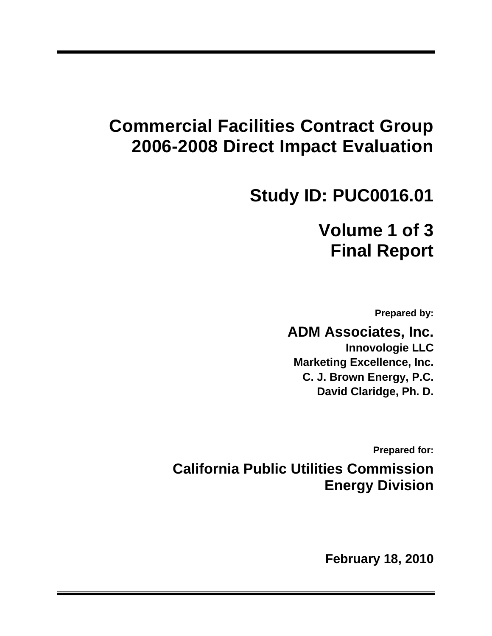# **Commercial Facilities Contract Group 2006-2008 Direct Impact Evaluation**

# **Study ID: PUC0016.01**

# **Volume 1 of 3 Final Report**

**Prepared by:** 

**ADM Associates, Inc. Innovologie LLC Marketing Excellence, Inc. C. J. Brown Energy, P.C. David Claridge, Ph. D.** 

**Prepared for:** 

**California Public Utilities Commission Energy Division** 

 **February 18, 2010**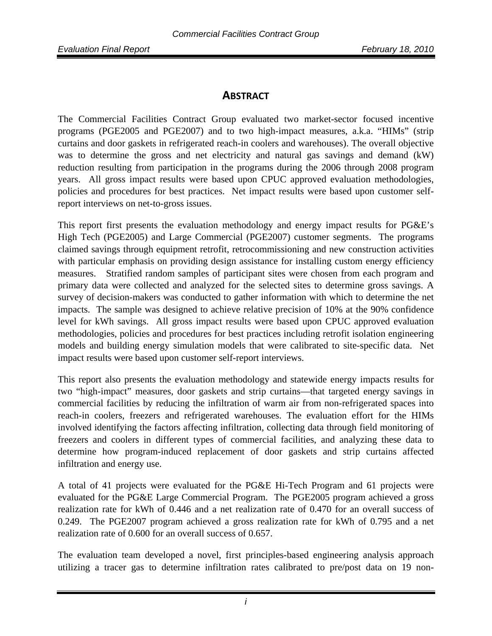# **ABSTRACT**

The Commercial Facilities Contract Group evaluated two market-sector focused incentive programs (PGE2005 and PGE2007) and to two high-impact measures, a.k.a. "HIMs" (strip curtains and door gaskets in refrigerated reach-in coolers and warehouses). The overall objective was to determine the gross and net electricity and natural gas savings and demand (kW) reduction resulting from participation in the programs during the 2006 through 2008 program years. All gross impact results were based upon CPUC approved evaluation methodologies, policies and procedures for best practices. Net impact results were based upon customer selfreport interviews on net-to-gross issues.

This report first presents the evaluation methodology and energy impact results for PG&E's High Tech (PGE2005) and Large Commercial (PGE2007) customer segments. The programs claimed savings through equipment retrofit, retrocommissioning and new construction activities with particular emphasis on providing design assistance for installing custom energy efficiency measures. Stratified random samples of participant sites were chosen from each program and primary data were collected and analyzed for the selected sites to determine gross savings. A survey of decision-makers was conducted to gather information with which to determine the net impacts. The sample was designed to achieve relative precision of 10% at the 90% confidence level for kWh savings. All gross impact results were based upon CPUC approved evaluation methodologies, policies and procedures for best practices including retrofit isolation engineering models and building energy simulation models that were calibrated to site-specific data. Net impact results were based upon customer self-report interviews.

This report also presents the evaluation methodology and statewide energy impacts results for two "high-impact" measures, door gaskets and strip curtains—that targeted energy savings in commercial facilities by reducing the infiltration of warm air from non-refrigerated spaces into reach-in coolers, freezers and refrigerated warehouses. The evaluation effort for the HIMs involved identifying the factors affecting infiltration, collecting data through field monitoring of freezers and coolers in different types of commercial facilities, and analyzing these data to determine how program-induced replacement of door gaskets and strip curtains affected infiltration and energy use.

A total of 41 projects were evaluated for the PG&E Hi-Tech Program and 61 projects were evaluated for the PG&E Large Commercial Program. The PGE2005 program achieved a gross realization rate for kWh of 0.446 and a net realization rate of 0.470 for an overall success of 0.249. The PGE2007 program achieved a gross realization rate for kWh of 0.795 and a net realization rate of 0.600 for an overall success of 0.657.

The evaluation team developed a novel, first principles-based engineering analysis approach utilizing a tracer gas to determine infiltration rates calibrated to pre/post data on 19 non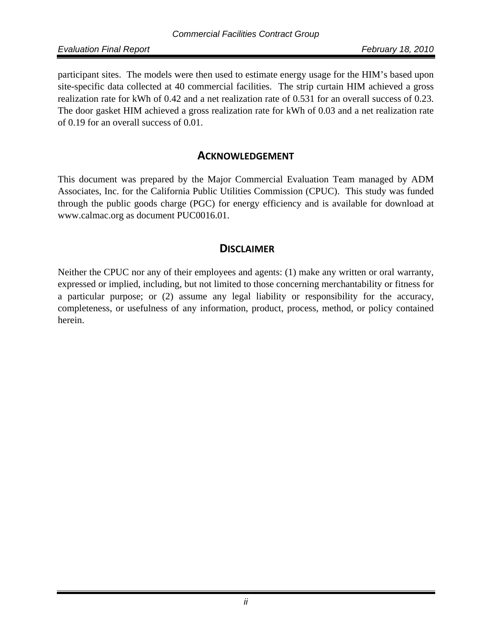*Evaluation Final Report February 18, 2010*

participant sites. The models were then used to estimate energy usage for the HIM's based upon site-specific data collected at 40 commercial facilities. The strip curtain HIM achieved a gross realization rate for kWh of 0.42 and a net realization rate of 0.531 for an overall success of 0.23. The door gasket HIM achieved a gross realization rate for kWh of 0.03 and a net realization rate of 0.19 for an overall success of 0.01.

## **ACKNOWLEDGEMENT**

This document was prepared by the Major Commercial Evaluation Team managed by ADM Associates, Inc. for the California Public Utilities Commission (CPUC). This study was funded through the public goods charge (PGC) for energy efficiency and is available for download at www.calmac.org as document PUC0016.01.

# **DISCLAIMER**

Neither the CPUC nor any of their employees and agents: (1) make any written or oral warranty, expressed or implied, including, but not limited to those concerning merchantability or fitness for a particular purpose; or (2) assume any legal liability or responsibility for the accuracy, completeness, or usefulness of any information, product, process, method, or policy contained herein.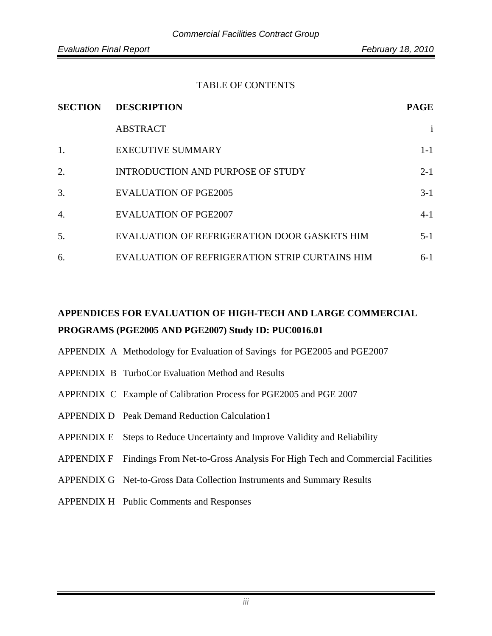#### TABLE OF CONTENTS

| <b>SECTION</b>   | <b>DESCRIPTION</b>                             | <b>PAGE</b>  |  |
|------------------|------------------------------------------------|--------------|--|
|                  | <b>ABSTRACT</b>                                | $\mathbf{i}$ |  |
| 1.               | <b>EXECUTIVE SUMMARY</b>                       | $1-1$        |  |
| 2.               | <b>INTRODUCTION AND PURPOSE OF STUDY</b>       | $2 - 1$      |  |
| 3.               | <b>EVALUATION OF PGE2005</b>                   | $3-1$        |  |
| $\overline{4}$ . | <b>EVALUATION OF PGE2007</b>                   | $4 - 1$      |  |
| 5.               | EVALUATION OF REFRIGERATION DOOR GASKETS HIM   | $5-1$        |  |
| 6.               | EVALUATION OF REFRIGERATION STRIP CURTAINS HIM | $6-1$        |  |

# **APPENDICES FOR EVALUATION OF HIGH-TECH AND LARGE COMMERCIAL PROGRAMS (PGE2005 AND PGE2007) Study ID: PUC0016.01**

- APPENDIX A Methodology for Evaluation of Savings for PGE2005 and PGE2007
- APPENDIX B TurboCor Evaluation Method and Results
- APPENDIX C Example of Calibration Process for PGE2005 and PGE 2007
- APPENDIX D Peak Demand Reduction Calculation 1
- APPENDIX E Steps to Reduce Uncertainty and Improve Validity and Reliability
- APPENDIX F Findings From Net-to-Gross Analysis For High Tech and Commercial Facilities
- APPENDIX G Net-to-Gross Data Collection Instruments and Summary Results
- APPENDIX H Public Comments and Responses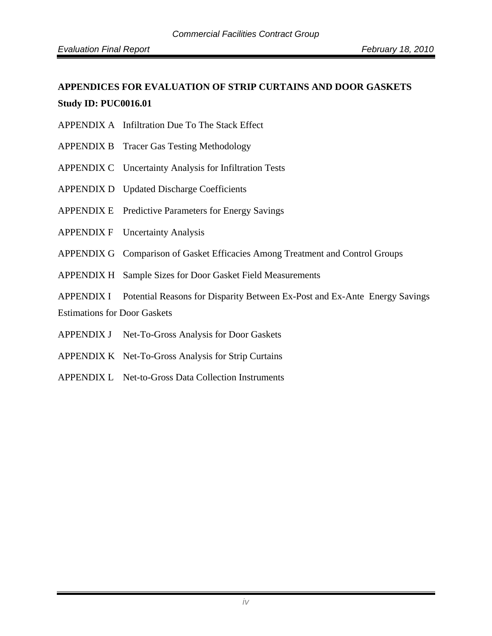# **APPENDICES FOR EVALUATION OF STRIP CURTAINS AND DOOR GASKETS Study ID: PUC0016.01**

- APPENDIX A Infiltration Due To The Stack Effect
- APPENDIX B Tracer Gas Testing Methodology
- APPENDIX C Uncertainty Analysis for Infiltration Tests
- APPENDIX D Updated Discharge Coefficients
- APPENDIX E Predictive Parameters for Energy Savings
- APPENDIX F Uncertainty Analysis
- APPENDIX G Comparison of Gasket Efficacies Among Treatment and Control Groups
- APPENDIX H Sample Sizes for Door Gasket Field Measurements
- APPENDIX I Potential Reasons for Disparity Between Ex-Post and Ex-Ante Energy Savings

Estimations for Door Gaskets

- APPENDIX J Net-To-Gross Analysis for Door Gaskets
- APPENDIX K Net-To-Gross Analysis for Strip Curtains
- APPENDIX L Net-to-Gross Data Collection Instruments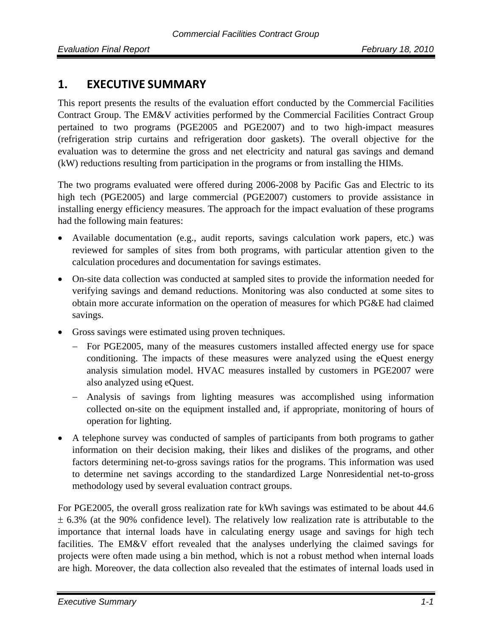# **1. EXECUTIVE SUMMARY**

This report presents the results of the evaluation effort conducted by the Commercial Facilities Contract Group. The EM&V activities performed by the Commercial Facilities Contract Group pertained to two programs (PGE2005 and PGE2007) and to two high-impact measures (refrigeration strip curtains and refrigeration door gaskets). The overall objective for the evaluation was to determine the gross and net electricity and natural gas savings and demand (kW) reductions resulting from participation in the programs or from installing the HIMs.

The two programs evaluated were offered during 2006-2008 by Pacific Gas and Electric to its high tech (PGE2005) and large commercial (PGE2007) customers to provide assistance in installing energy efficiency measures. The approach for the impact evaluation of these programs had the following main features:

- Available documentation (e.g., audit reports, savings calculation work papers, etc.) was reviewed for samples of sites from both programs, with particular attention given to the calculation procedures and documentation for savings estimates.
- On-site data collection was conducted at sampled sites to provide the information needed for verifying savings and demand reductions. Monitoring was also conducted at some sites to obtain more accurate information on the operation of measures for which PG&E had claimed savings.
- Gross savings were estimated using proven techniques.
	- − For PGE2005, many of the measures customers installed affected energy use for space conditioning. The impacts of these measures were analyzed using the eQuest energy analysis simulation model. HVAC measures installed by customers in PGE2007 were also analyzed using eQuest.
	- − Analysis of savings from lighting measures was accomplished using information collected on-site on the equipment installed and, if appropriate, monitoring of hours of operation for lighting.
- A telephone survey was conducted of samples of participants from both programs to gather information on their decision making, their likes and dislikes of the programs, and other factors determining net-to-gross savings ratios for the programs. This information was used to determine net savings according to the standardized Large Nonresidential net-to-gross methodology used by several evaluation contract groups.

For PGE2005, the overall gross realization rate for kWh savings was estimated to be about 44.6 ± 6.3% (at the 90% confidence level). The relatively low realization rate is attributable to the importance that internal loads have in calculating energy usage and savings for high tech facilities. The EM&V effort revealed that the analyses underlying the claimed savings for projects were often made using a bin method, which is not a robust method when internal loads are high. Moreover, the data collection also revealed that the estimates of internal loads used in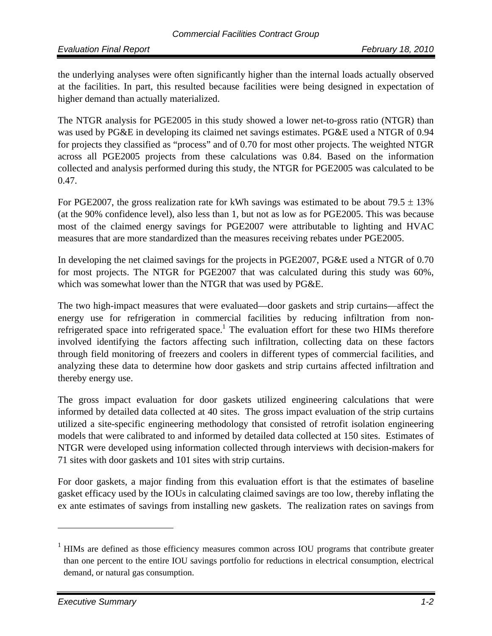the underlying analyses were often significantly higher than the internal loads actually observed at the facilities. In part, this resulted because facilities were being designed in expectation of higher demand than actually materialized.

The NTGR analysis for PGE2005 in this study showed a lower net-to-gross ratio (NTGR) than was used by PG&E in developing its claimed net savings estimates. PG&E used a NTGR of 0.94 for projects they classified as "process" and of 0.70 for most other projects. The weighted NTGR across all PGE2005 projects from these calculations was 0.84. Based on the information collected and analysis performed during this study, the NTGR for PGE2005 was calculated to be 0.47.

For PGE2007, the gross realization rate for kWh savings was estimated to be about  $79.5 \pm 13\%$ (at the 90% confidence level), also less than 1, but not as low as for PGE2005. This was because most of the claimed energy savings for PGE2007 were attributable to lighting and HVAC measures that are more standardized than the measures receiving rebates under PGE2005.

In developing the net claimed savings for the projects in PGE2007, PG&E used a NTGR of 0.70 for most projects. The NTGR for PGE2007 that was calculated during this study was 60%, which was somewhat lower than the NTGR that was used by PG&E.

The two high-impact measures that were evaluated—door gaskets and strip curtains—affect the energy use for refrigeration in commercial facilities by reducing infiltration from nonrefrigerated space into refrigerated space.<sup>1</sup> The evaluation effort for these two HIMs therefore involved identifying the factors affecting such infiltration, collecting data on these factors through field monitoring of freezers and coolers in different types of commercial facilities, and analyzing these data to determine how door gaskets and strip curtains affected infiltration and thereby energy use.

The gross impact evaluation for door gaskets utilized engineering calculations that were informed by detailed data collected at 40 sites. The gross impact evaluation of the strip curtains utilized a site-specific engineering methodology that consisted of retrofit isolation engineering models that were calibrated to and informed by detailed data collected at 150 sites. Estimates of NTGR were developed using information collected through interviews with decision-makers for 71 sites with door gaskets and 101 sites with strip curtains.

For door gaskets, a major finding from this evaluation effort is that the estimates of baseline gasket efficacy used by the IOUs in calculating claimed savings are too low, thereby inflating the ex ante estimates of savings from installing new gaskets. The realization rates on savings from

 $1$  HIMs are defined as those efficiency measures common across IOU programs that contribute greater than one percent to the entire IOU savings portfolio for reductions in electrical consumption, electrical demand, or natural gas consumption.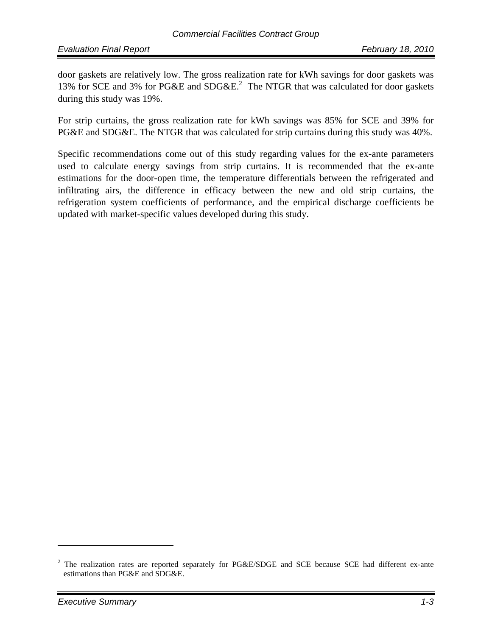door gaskets are relatively low. The gross realization rate for kWh savings for door gaskets was 13% for SCE and 3% for PG&E and  $SDG&E<sup>2</sup>$ . The NTGR that was calculated for door gaskets during this study was 19%.

For strip curtains, the gross realization rate for kWh savings was 85% for SCE and 39% for PG&E and SDG&E. The NTGR that was calculated for strip curtains during this study was 40%.

Specific recommendations come out of this study regarding values for the ex-ante parameters used to calculate energy savings from strip curtains. It is recommended that the ex-ante estimations for the door-open time, the temperature differentials between the refrigerated and infiltrating airs, the difference in efficacy between the new and old strip curtains, the refrigeration system coefficients of performance, and the empirical discharge coefficients be updated with market-specific values developed during this study.

<sup>&</sup>lt;sup>2</sup> The realization rates are reported separately for PG&E/SDGE and SCE because SCE had different ex-ante estimations than PG&E and SDG&E.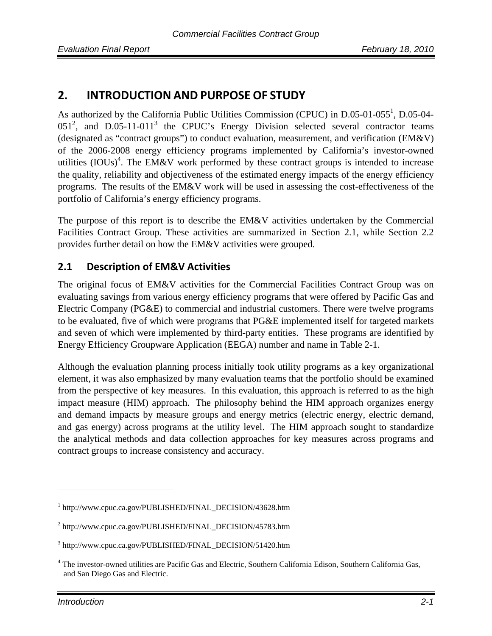# **2. INTRODUCTION AND PURPOSE OF STUDY**

As authorized by the California Public Utilities Commission (CPUC) in D.05-01-055<sup>1</sup>, D.05-04- $051<sup>2</sup>$ , and D.05-11-011<sup>3</sup> the CPUC's Energy Division selected several contractor teams (designated as "contract groups") to conduct evaluation, measurement, and verification (EM&V) of the 2006-2008 energy efficiency programs implemented by California's investor-owned utilities  $(IOUs)^4$ . The EM&V work performed by these contract groups is intended to increase the quality, reliability and objectiveness of the estimated energy impacts of the energy efficiency programs. The results of the EM&V work will be used in assessing the cost-effectiveness of the portfolio of California's energy efficiency programs.

The purpose of this report is to describe the EM&V activities undertaken by the Commercial Facilities Contract Group. These activities are summarized in Section 2.1, while Section 2.2 provides further detail on how the EM&V activities were grouped.

## **2.1 Description of EM&V Activities**

The original focus of EM&V activities for the Commercial Facilities Contract Group was on evaluating savings from various energy efficiency programs that were offered by Pacific Gas and Electric Company (PG&E) to commercial and industrial customers. There were twelve programs to be evaluated, five of which were programs that PG&E implemented itself for targeted markets and seven of which were implemented by third-party entities. These programs are identified by Energy Efficiency Groupware Application (EEGA) number and name in Table 2-1.

Although the evaluation planning process initially took utility programs as a key organizational element, it was also emphasized by many evaluation teams that the portfolio should be examined from the perspective of key measures. In this evaluation, this approach is referred to as the high impact measure (HIM) approach. The philosophy behind the HIM approach organizes energy and demand impacts by measure groups and energy metrics (electric energy, electric demand, and gas energy) across programs at the utility level. The HIM approach sought to standardize the analytical methods and data collection approaches for key measures across programs and contract groups to increase consistency and accuracy.

<sup>1</sup> http://www.cpuc.ca.gov/PUBLISHED/FINAL\_DECISION/43628.htm

<sup>&</sup>lt;sup>2</sup> http://www.cpuc.ca.gov/PUBLISHED/FINAL\_DECISION/45783.htm

<sup>3</sup> http://www.cpuc.ca.gov/PUBLISHED/FINAL\_DECISION/51420.htm

<sup>&</sup>lt;sup>4</sup> The investor-owned utilities are Pacific Gas and Electric, Southern California Edison, Southern California Gas, and San Diego Gas and Electric.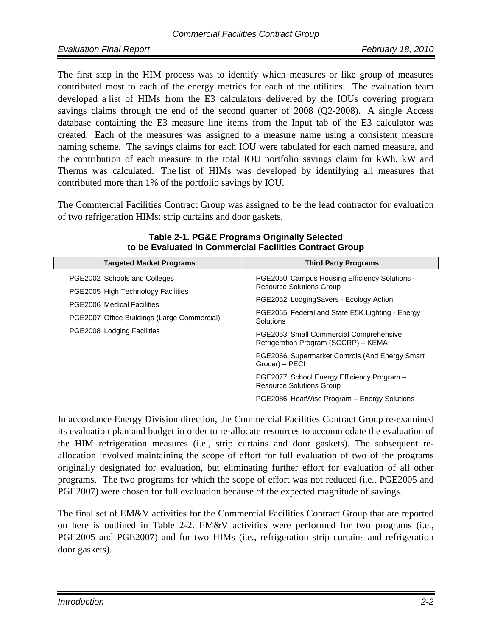The first step in the HIM process was to identify which measures or like group of measures contributed most to each of the energy metrics for each of the utilities. The evaluation team developed a list of HIMs from the E3 calculators delivered by the IOUs covering program savings claims through the end of the second quarter of 2008 (Q2-2008). A single Access database containing the E3 measure line items from the Input tab of the E3 calculator was created. Each of the measures was assigned to a measure name using a consistent measure naming scheme. The savings claims for each IOU were tabulated for each named measure, and the contribution of each measure to the total IOU portfolio savings claim for kWh, kW and Therms was calculated. The list of HIMs was developed by identifying all measures that contributed more than 1% of the portfolio savings by IOU.

The Commercial Facilities Contract Group was assigned to be the lead contractor for evaluation of two refrigeration HIMs: strip curtains and door gaskets.

| <b>Targeted Market Programs</b>                                         | <b>Third Party Programs</b>                                                      |
|-------------------------------------------------------------------------|----------------------------------------------------------------------------------|
| PGE2002 Schools and Colleges                                            | PGE2050 Campus Housing Efficiency Solutions -<br><b>Resource Solutions Group</b> |
| PGE2005 High Technology Facilities<br><b>PGE2006</b> Medical Facilities | PGE2052 LodgingSavers - Ecology Action                                           |
| PGE2007 Office Buildings (Large Commercial)                             | PGE2055 Federal and State E5K Lighting - Energy<br>Solutions                     |
| PGE2008 Lodging Facilities                                              | PGE2063 Small Commercial Comprehensive<br>Refrigeration Program (SCCRP) - KEMA   |
|                                                                         | PGE2066 Supermarket Controls (And Energy Smart<br>Grocer) - PECI                 |
|                                                                         | PGE2077 School Energy Efficiency Program -<br><b>Resource Solutions Group</b>    |
|                                                                         | PGE2086 HeatWise Program - Energy Solutions                                      |

**Table 2-1. PG&E Programs Originally Selected to be Evaluated in Commercial Facilities Contract Group** 

In accordance Energy Division direction, the Commercial Facilities Contract Group re-examined its evaluation plan and budget in order to re-allocate resources to accommodate the evaluation of the HIM refrigeration measures (i.e., strip curtains and door gaskets). The subsequent reallocation involved maintaining the scope of effort for full evaluation of two of the programs originally designated for evaluation, but eliminating further effort for evaluation of all other programs. The two programs for which the scope of effort was not reduced (i.e., PGE2005 and PGE2007) were chosen for full evaluation because of the expected magnitude of savings.

The final set of EM&V activities for the Commercial Facilities Contract Group that are reported on here is outlined in Table 2-2. EM&V activities were performed for two programs (i.e., PGE2005 and PGE2007) and for two HIMs (i.e., refrigeration strip curtains and refrigeration door gaskets).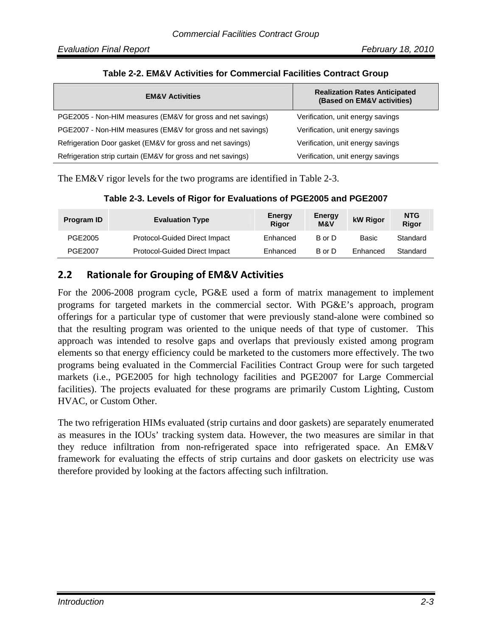| <b>EM&amp;V Activities</b>                                   | <b>Realization Rates Anticipated</b><br>(Based on EM&V activities) |
|--------------------------------------------------------------|--------------------------------------------------------------------|
| PGE2005 - Non-HIM measures (EM&V for gross and net savings)  | Verification, unit energy savings                                  |
| PGE2007 - Non-HIM measures (EM&V for gross and net savings)  | Verification, unit energy savings                                  |
| Refrigeration Door gasket (EM&V for gross and net savings)   | Verification, unit energy savings                                  |
| Refrigeration strip curtain (EM&V for gross and net savings) | Verification, unit energy savings                                  |

#### **Table 2-2. EM&V Activities for Commercial Facilities Contract Group**

The EM&V rigor levels for the two programs are identified in Table 2-3.

| <b>Program ID</b> | <b>Evaluation Type</b>        | <b>Energy</b><br>Rigor | Energy<br>M&V | kW Rigor | <b>NTG</b><br>Rigor |
|-------------------|-------------------------------|------------------------|---------------|----------|---------------------|
| PGE2005           | Protocol-Guided Direct Impact | Enhanced               | B or D        | Basic    | Standard            |
| PGE2007           | Protocol-Guided Direct Impact | Enhanced               | B or D        | Enhanced | Standard            |

## **2.2 Rationale for Grouping of EM&V Activities**

For the 2006-2008 program cycle, PG&E used a form of matrix management to implement programs for targeted markets in the commercial sector. With PG&E's approach, program offerings for a particular type of customer that were previously stand-alone were combined so that the resulting program was oriented to the unique needs of that type of customer. This approach was intended to resolve gaps and overlaps that previously existed among program elements so that energy efficiency could be marketed to the customers more effectively. The two programs being evaluated in the Commercial Facilities Contract Group were for such targeted markets (i.e., PGE2005 for high technology facilities and PGE2007 for Large Commercial facilities). The projects evaluated for these programs are primarily Custom Lighting, Custom HVAC, or Custom Other.

The two refrigeration HIMs evaluated (strip curtains and door gaskets) are separately enumerated as measures in the IOUs' tracking system data. However, the two measures are similar in that they reduce infiltration from non-refrigerated space into refrigerated space. An EM&V framework for evaluating the effects of strip curtains and door gaskets on electricity use was therefore provided by looking at the factors affecting such infiltration.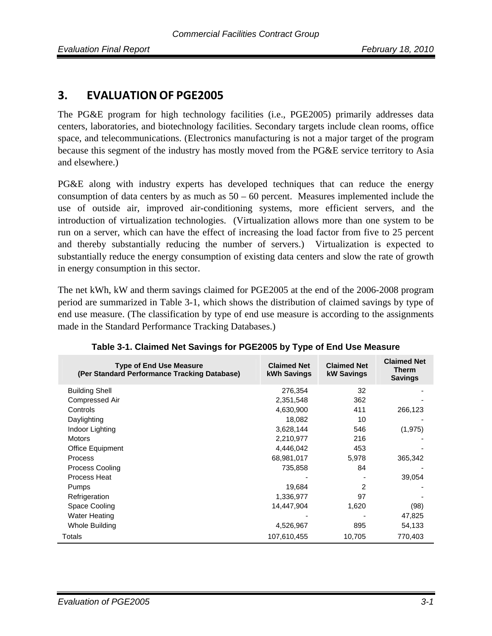# **3. EVALUATION OF PGE2005**

The PG&E program for high technology facilities (i.e., PGE2005) primarily addresses data centers, laboratories, and biotechnology facilities. Secondary targets include clean rooms, office space, and telecommunications. (Electronics manufacturing is not a major target of the program because this segment of the industry has mostly moved from the PG&E service territory to Asia and elsewhere.)

PG&E along with industry experts has developed techniques that can reduce the energy consumption of data centers by as much as  $50 - 60$  percent. Measures implemented include the use of outside air, improved air-conditioning systems, more efficient servers, and the introduction of virtualization technologies. (Virtualization allows more than one system to be run on a server, which can have the effect of increasing the load factor from five to 25 percent and thereby substantially reducing the number of servers.) Virtualization is expected to substantially reduce the energy consumption of existing data centers and slow the rate of growth in energy consumption in this sector.

The net kWh, kW and therm savings claimed for PGE2005 at the end of the 2006-2008 program period are summarized in Table 3-1, which shows the distribution of claimed savings by type of end use measure. (The classification by type of end use measure is according to the assignments made in the Standard Performance Tracking Databases.)

| <b>Type of End Use Measure</b><br>(Per Standard Performance Tracking Database) | <b>Claimed Net</b><br>kWh Savings | <b>Claimed Net</b><br><b>kW Savings</b> | <b>Claimed Net</b><br><b>Therm</b><br><b>Savings</b> |
|--------------------------------------------------------------------------------|-----------------------------------|-----------------------------------------|------------------------------------------------------|
| <b>Building Shell</b>                                                          | 276,354                           | 32                                      |                                                      |
| <b>Compressed Air</b>                                                          | 2,351,548                         | 362                                     |                                                      |
| Controls                                                                       | 4,630,900                         | 411                                     | 266,123                                              |
| Daylighting                                                                    | 18,082                            | 10                                      |                                                      |
| Indoor Lighting                                                                | 3,628,144                         | 546                                     | (1, 975)                                             |
| <b>Motors</b>                                                                  | 2,210,977                         | 216                                     |                                                      |
| Office Equipment                                                               | 4,446,042                         | 453                                     |                                                      |
| <b>Process</b>                                                                 | 68,981,017                        | 5,978                                   | 365,342                                              |
| <b>Process Cooling</b>                                                         | 735,858                           | 84                                      |                                                      |
| Process Heat                                                                   |                                   |                                         | 39,054                                               |
| <b>Pumps</b>                                                                   | 19,684                            | 2                                       |                                                      |
| Refrigeration                                                                  | 1,336,977                         | 97                                      |                                                      |
| Space Cooling                                                                  | 14,447,904                        | 1,620                                   | (98)                                                 |
| <b>Water Heating</b>                                                           |                                   |                                         | 47,825                                               |
| Whole Building                                                                 | 4,526,967                         | 895                                     | 54,133                                               |
| Totals                                                                         | 107,610,455                       | 10,705                                  | 770,403                                              |

| Table 3-1. Claimed Net Savings for PGE2005 by Type of End Use Measure |  |  |  |
|-----------------------------------------------------------------------|--|--|--|
|                                                                       |  |  |  |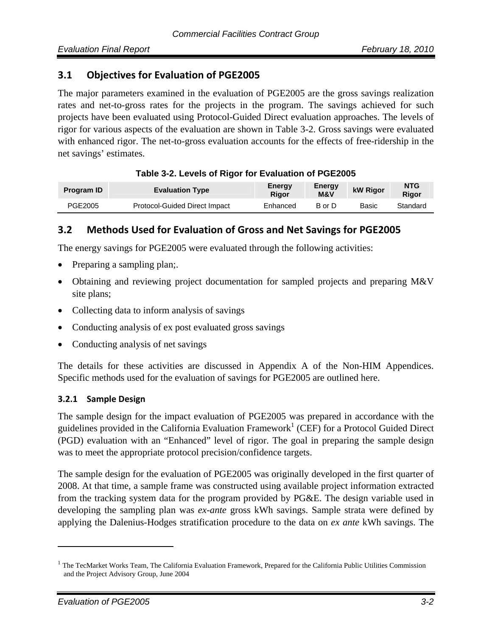### **3.1 Objectives for Evaluation of PGE2005**

The major parameters examined in the evaluation of PGE2005 are the gross savings realization rates and net-to-gross rates for the projects in the program. The savings achieved for such projects have been evaluated using Protocol-Guided Direct evaluation approaches. The levels of rigor for various aspects of the evaluation are shown in Table 3-2. Gross savings were evaluated with enhanced rigor. The net-to-gross evaluation accounts for the effects of free-ridership in the net savings' estimates.

| <b>Program ID</b> | <b>Evaluation Type</b>        | Energy<br>Rigor | Energy<br><b>M&amp;V</b> | kW Rigor | <b>NTG</b><br><b>Rigor</b> |  |
|-------------------|-------------------------------|-----------------|--------------------------|----------|----------------------------|--|
| PGE2005           | Protocol-Guided Direct Impact | Enhanced        | B or D                   | Basic    | Standard                   |  |

#### **Table 3-2. Levels of Rigor for Evaluation of PGE2005**

## **3.2 Methods Used for Evaluation of Gross and Net Savings for PGE2005**

The energy savings for PGE2005 were evaluated through the following activities:

- Preparing a sampling plan;.
- Obtaining and reviewing project documentation for sampled projects and preparing M&V site plans;
- Collecting data to inform analysis of savings
- Conducting analysis of ex post evaluated gross savings
- Conducting analysis of net savings

The details for these activities are discussed in Appendix A of the Non-HIM Appendices. Specific methods used for the evaluation of savings for PGE2005 are outlined here.

#### **3.2.1 Sample Design**

The sample design for the impact evaluation of PGE2005 was prepared in accordance with the guidelines provided in the California Evaluation Framework<sup>1</sup> (CEF) for a Protocol Guided Direct (PGD) evaluation with an "Enhanced" level of rigor. The goal in preparing the sample design was to meet the appropriate protocol precision/confidence targets.

The sample design for the evaluation of PGE2005 was originally developed in the first quarter of 2008. At that time, a sample frame was constructed using available project information extracted from the tracking system data for the program provided by PG&E. The design variable used in developing the sampling plan was *ex-ante* gross kWh savings. Sample strata were defined by applying the Dalenius-Hodges stratification procedure to the data on *ex ante* kWh savings. The

 $1$  The TecMarket Works Team, The California Evaluation Framework, Prepared for the California Public Utilities Commission and the Project Advisory Group, June 2004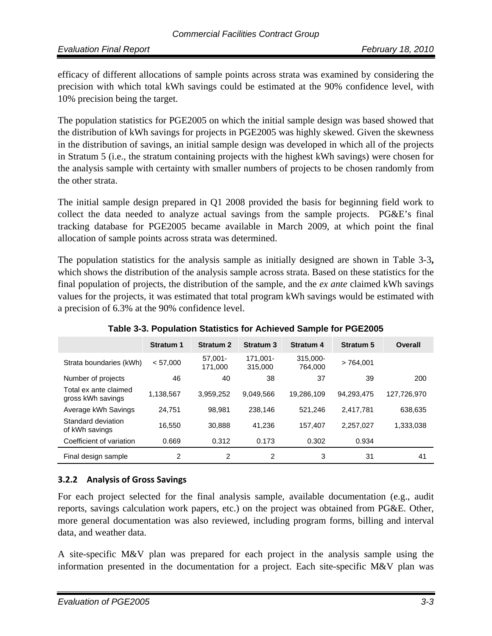efficacy of different allocations of sample points across strata was examined by considering the precision with which total kWh savings could be estimated at the 90% confidence level, with 10% precision being the target.

The population statistics for PGE2005 on which the initial sample design was based showed that the distribution of kWh savings for projects in PGE2005 was highly skewed. Given the skewness in the distribution of savings, an initial sample design was developed in which all of the projects in Stratum 5 (i.e., the stratum containing projects with the highest kWh savings) were chosen for the analysis sample with certainty with smaller numbers of projects to be chosen randomly from the other strata.

The initial sample design prepared in Q1 2008 provided the basis for beginning field work to collect the data needed to analyze actual savings from the sample projects. PG&E's final tracking database for PGE2005 became available in March 2009, at which point the final allocation of sample points across strata was determined.

The population statistics for the analysis sample as initially designed are shown in Table 3-3**,**  which shows the distribution of the analysis sample across strata. Based on these statistics for the final population of projects, the distribution of the sample, and the *ex ante* claimed kWh savings values for the projects, it was estimated that total program kWh savings would be estimated with a precision of 6.3% at the 90% confidence level.

|                                            | <b>Stratum 1</b> | <b>Stratum 2</b>      | <b>Stratum 3</b>    | <b>Stratum 4</b>    | <b>Stratum 5</b> | Overall     |
|--------------------------------------------|------------------|-----------------------|---------------------|---------------------|------------------|-------------|
| Strata boundaries (kWh)                    | < 57.000         | $57.001 -$<br>171.000 | 171.001-<br>315,000 | 315.000-<br>764.000 | >764.001         |             |
| Number of projects                         | 46               | 40                    | 38                  | 37                  | 39               | 200         |
| Total ex ante claimed<br>gross kWh savings | 1,138,567        | 3.959.252             | 9.049.566           | 19,286,109          | 94.293.475       | 127.726.970 |
| Average kWh Savings                        | 24.751           | 98.981                | 238,146             | 521.246             | 2,417,781        | 638,635     |
| Standard deviation<br>of kWh savings       | 16,550           | 30.888                | 41.236              | 157.407             | 2,257,027        | 1,333,038   |
| Coefficient of variation                   | 0.669            | 0.312                 | 0.173               | 0.302               | 0.934            |             |
| Final design sample                        | 2                | $\overline{2}$        | $\overline{2}$      | 3                   | 31               | 41          |

**Table 3-3. Population Statistics for Achieved Sample for PGE2005** 

### **3.2.2 Analysis of Gross Savings**

For each project selected for the final analysis sample, available documentation (e.g., audit reports, savings calculation work papers, etc.) on the project was obtained from PG&E. Other, more general documentation was also reviewed, including program forms, billing and interval data, and weather data.

A site-specific M&V plan was prepared for each project in the analysis sample using the information presented in the documentation for a project. Each site-specific M&V plan was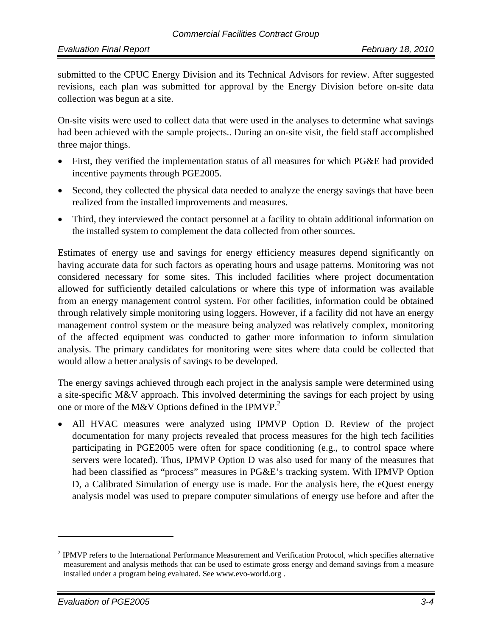submitted to the CPUC Energy Division and its Technical Advisors for review. After suggested revisions, each plan was submitted for approval by the Energy Division before on-site data collection was begun at a site.

On-site visits were used to collect data that were used in the analyses to determine what savings had been achieved with the sample projects.. During an on-site visit, the field staff accomplished three major things.

- First, they verified the implementation status of all measures for which PG&E had provided incentive payments through PGE2005.
- Second, they collected the physical data needed to analyze the energy savings that have been realized from the installed improvements and measures.
- Third, they interviewed the contact personnel at a facility to obtain additional information on the installed system to complement the data collected from other sources.

Estimates of energy use and savings for energy efficiency measures depend significantly on having accurate data for such factors as operating hours and usage patterns. Monitoring was not considered necessary for some sites. This included facilities where project documentation allowed for sufficiently detailed calculations or where this type of information was available from an energy management control system. For other facilities, information could be obtained through relatively simple monitoring using loggers. However, if a facility did not have an energy management control system or the measure being analyzed was relatively complex, monitoring of the affected equipment was conducted to gather more information to inform simulation analysis. The primary candidates for monitoring were sites where data could be collected that would allow a better analysis of savings to be developed.

The energy savings achieved through each project in the analysis sample were determined using a site-specific M&V approach. This involved determining the savings for each project by using one or more of the M&V Options defined in the IPMVP.<sup>2</sup>

• All HVAC measures were analyzed using IPMVP Option D. Review of the project documentation for many projects revealed that process measures for the high tech facilities participating in PGE2005 were often for space conditioning (e.g., to control space where servers were located). Thus, IPMVP Option D was also used for many of the measures that had been classified as "process" measures in PG&E's tracking system. With IPMVP Option D, a Calibrated Simulation of energy use is made. For the analysis here, the eQuest energy analysis model was used to prepare computer simulations of energy use before and after the

 $2$  IPMVP refers to the International Performance Measurement and Verification Protocol, which specifies alternative measurement and analysis methods that can be used to estimate gross energy and demand savings from a measure installed under a program being evaluated. See www.evo-world.org .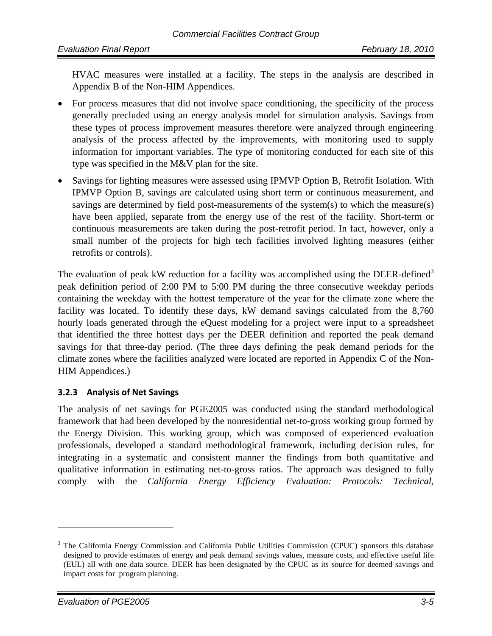HVAC measures were installed at a facility. The steps in the analysis are described in Appendix B of the Non-HIM Appendices.

- For process measures that did not involve space conditioning, the specificity of the process generally precluded using an energy analysis model for simulation analysis. Savings from these types of process improvement measures therefore were analyzed through engineering analysis of the process affected by the improvements, with monitoring used to supply information for important variables. The type of monitoring conducted for each site of this type was specified in the M&V plan for the site.
- Savings for lighting measures were assessed using IPMVP Option B, Retrofit Isolation. With IPMVP Option B, savings are calculated using short term or continuous measurement, and savings are determined by field post-measurements of the system(s) to which the measure(s) have been applied, separate from the energy use of the rest of the facility. Short-term or continuous measurements are taken during the post-retrofit period. In fact, however, only a small number of the projects for high tech facilities involved lighting measures (either retrofits or controls).

The evaluation of peak kW reduction for a facility was accomplished using the DEER-defined<sup>3</sup> peak definition period of 2:00 PM to 5:00 PM during the three consecutive weekday periods containing the weekday with the hottest temperature of the year for the climate zone where the facility was located. To identify these days, kW demand savings calculated from the 8,760 hourly loads generated through the eQuest modeling for a project were input to a spreadsheet that identified the three hottest days per the DEER definition and reported the peak demand savings for that three-day period. (The three days defining the peak demand periods for the climate zones where the facilities analyzed were located are reported in Appendix C of the Non-HIM Appendices.)

#### **3.2.3 Analysis of Net Savings**

The analysis of net savings for PGE2005 was conducted using the standard methodological framework that had been developed by the nonresidential net-to-gross working group formed by the Energy Division. This working group, which was composed of experienced evaluation professionals, developed a standard methodological framework, including decision rules, for integrating in a systematic and consistent manner the findings from both quantitative and qualitative information in estimating net-to-gross ratios. The approach was designed to fully comply with the *California Energy Efficiency Evaluation: Protocols: Technical,* 

<u>.</u>

<sup>&</sup>lt;sup>3</sup> The California Energy Commission and California Public Utilities Commission (CPUC) sponsors this database designed to provide estimates of energy and peak demand savings values, measure costs, and effective useful life (EUL) all with one data source. DEER has been designated by the CPUC as its source for deemed savings and impact costs for program planning.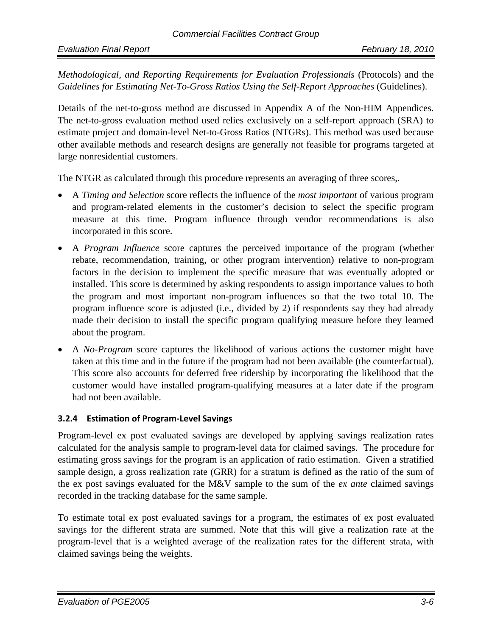*Methodological, and Reporting Requirements for Evaluation Professionals* (Protocols) and the *Guidelines for Estimating Net-To-Gross Ratios Using the Self-Report Approaches* (Guidelines).

Details of the net-to-gross method are discussed in Appendix A of the Non-HIM Appendices. The net-to-gross evaluation method used relies exclusively on a self-report approach (SRA) to estimate project and domain-level Net-to-Gross Ratios (NTGRs). This method was used because other available methods and research designs are generally not feasible for programs targeted at large nonresidential customers.

The NTGR as calculated through this procedure represents an averaging of three scores,.

- A *Timing and Selection* score reflects the influence of the *most important* of various program and program-related elements in the customer's decision to select the specific program measure at this time. Program influence through vendor recommendations is also incorporated in this score.
- A *Program Influence* score captures the perceived importance of the program (whether rebate, recommendation, training, or other program intervention) relative to non-program factors in the decision to implement the specific measure that was eventually adopted or installed. This score is determined by asking respondents to assign importance values to both the program and most important non-program influences so that the two total 10. The program influence score is adjusted (i.e., divided by 2) if respondents say they had already made their decision to install the specific program qualifying measure before they learned about the program.
- A *No-Program* score captures the likelihood of various actions the customer might have taken at this time and in the future if the program had not been available (the counterfactual). This score also accounts for deferred free ridership by incorporating the likelihood that the customer would have installed program-qualifying measures at a later date if the program had not been available.

#### **3.2.4 Estimation of Program‐Level Savings**

Program-level ex post evaluated savings are developed by applying savings realization rates calculated for the analysis sample to program-level data for claimed savings. The procedure for estimating gross savings for the program is an application of ratio estimation. Given a stratified sample design, a gross realization rate (GRR) for a stratum is defined as the ratio of the sum of the ex post savings evaluated for the M&V sample to the sum of the *ex ante* claimed savings recorded in the tracking database for the same sample.

To estimate total ex post evaluated savings for a program, the estimates of ex post evaluated savings for the different strata are summed. Note that this will give a realization rate at the program-level that is a weighted average of the realization rates for the different strata, with claimed savings being the weights.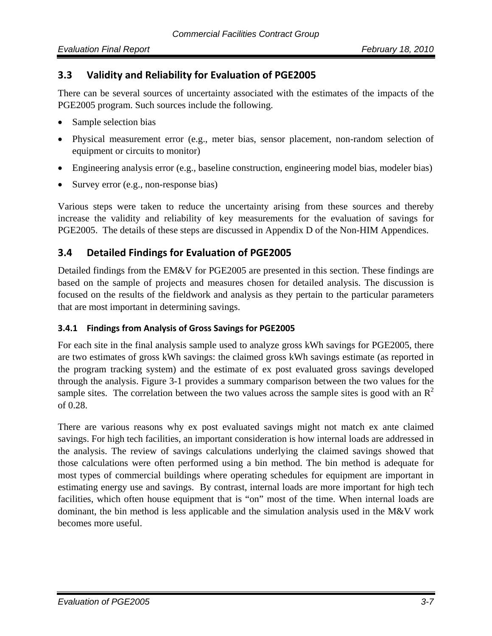## **3.3 Validity and Reliability for Evaluation of PGE2005**

There can be several sources of uncertainty associated with the estimates of the impacts of the PGE2005 program. Such sources include the following.

- Sample selection bias
- Physical measurement error (e.g., meter bias, sensor placement, non-random selection of equipment or circuits to monitor)
- Engineering analysis error (e.g., baseline construction, engineering model bias, modeler bias)
- Survey error (e.g., non-response bias)

Various steps were taken to reduce the uncertainty arising from these sources and thereby increase the validity and reliability of key measurements for the evaluation of savings for PGE2005. The details of these steps are discussed in Appendix D of the Non-HIM Appendices.

## **3.4 Detailed Findings for Evaluation of PGE2005**

Detailed findings from the EM&V for PGE2005 are presented in this section. These findings are based on the sample of projects and measures chosen for detailed analysis. The discussion is focused on the results of the fieldwork and analysis as they pertain to the particular parameters that are most important in determining savings.

#### **3.4.1 Findings from Analysis of Gross Savings for PGE2005**

For each site in the final analysis sample used to analyze gross kWh savings for PGE2005, there are two estimates of gross kWh savings: the claimed gross kWh savings estimate (as reported in the program tracking system) and the estimate of ex post evaluated gross savings developed through the analysis. Figure 3-1 provides a summary comparison between the two values for the sample sites. The correlation between the two values across the sample sites is good with an  $\mathbb{R}^2$ of 0.28.

There are various reasons why ex post evaluated savings might not match ex ante claimed savings. For high tech facilities, an important consideration is how internal loads are addressed in the analysis. The review of savings calculations underlying the claimed savings showed that those calculations were often performed using a bin method. The bin method is adequate for most types of commercial buildings where operating schedules for equipment are important in estimating energy use and savings. By contrast, internal loads are more important for high tech facilities, which often house equipment that is "on" most of the time. When internal loads are dominant, the bin method is less applicable and the simulation analysis used in the M&V work becomes more useful.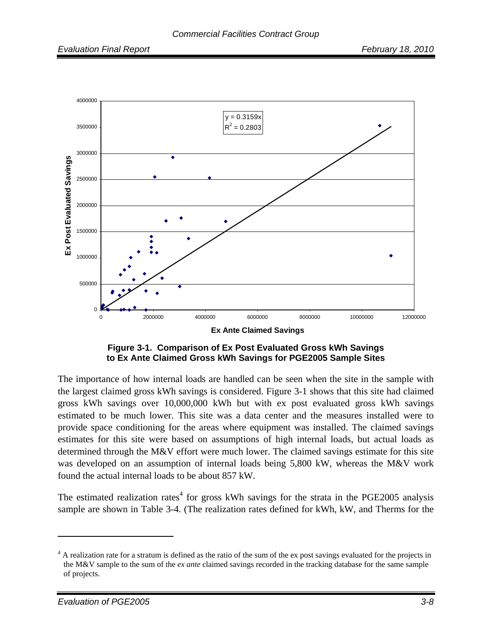

**Figure 3-1. Comparison of Ex Post Evaluated Gross kWh Savings to Ex Ante Claimed Gross kWh Savings for PGE2005 Sample Sites** 

The importance of how internal loads are handled can be seen when the site in the sample with the largest claimed gross kWh savings is considered. Figure 3-1 shows that this site had claimed gross kWh savings over 10,000,000 kWh but with ex post evaluated gross kWh savings estimated to be much lower. This site was a data center and the measures installed were to provide space conditioning for the areas where equipment was installed. The claimed savings estimates for this site were based on assumptions of high internal loads, but actual loads as determined through the M&V effort were much lower. The claimed savings estimate for this site was developed on an assumption of internal loads being 5,800 kW, whereas the M&V work found the actual internal loads to be about 857 kW.

The estimated realization rates<sup>4</sup> for gross kWh savings for the strata in the PGE2005 analysis sample are shown in Table 3-4. (The realization rates defined for kWh, kW, and Therms for the

<sup>&</sup>lt;sup>4</sup> A realization rate for a stratum is defined as the ratio of the sum of the ex post savings evaluated for the projects in the M&V sample to the sum of the *ex ante* claimed savings recorded in the tracking database for the same sample of projects.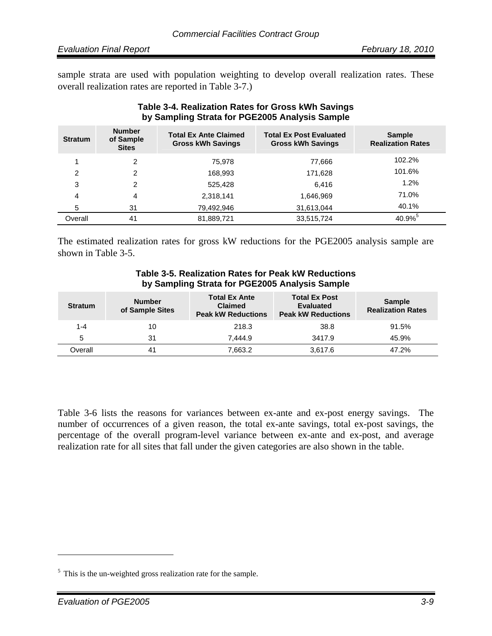sample strata are used with population weighting to develop overall realization rates. These overall realization rates are reported in Table 3-7.)

| Table 3-4. Realization Rates for Gross kWh Savings |
|----------------------------------------------------|
| by Sampling Strata for PGE2005 Analysis Sample     |

| <b>Stratum</b> | <b>Number</b><br>of Sample<br><b>Sites</b> | <b>Total Ex Ante Claimed</b><br><b>Gross kWh Savings</b> | <b>Total Ex Post Evaluated</b><br><b>Gross kWh Savings</b> | <b>Sample</b><br><b>Realization Rates</b> |
|----------------|--------------------------------------------|----------------------------------------------------------|------------------------------------------------------------|-------------------------------------------|
|                | 2                                          | 75.978                                                   | 77,666                                                     | 102.2%                                    |
| 2              | 2                                          | 168,993                                                  | 171,628                                                    | 101.6%                                    |
| 3              | 2                                          | 525.428                                                  | 6.416                                                      | 1.2%                                      |
| 4              | 4                                          | 2,318,141                                                | 1,646,969                                                  | 71.0%                                     |
| 5              | 31                                         | 79,492,946                                               | 31,613,044                                                 | 40.1%                                     |
| Overall        | 41                                         | 81,889,721                                               | 33,515,724                                                 | 40.9%                                     |

The estimated realization rates for gross kW reductions for the PGE2005 analysis sample are shown in Table 3-5.

| by Sampling Strata for PGE2005 Analysis Sample |                                  |                                                                     |                                                                       |                                           |  |  |
|------------------------------------------------|----------------------------------|---------------------------------------------------------------------|-----------------------------------------------------------------------|-------------------------------------------|--|--|
| <b>Stratum</b>                                 | <b>Number</b><br>of Sample Sites | <b>Total Ex Ante</b><br><b>Claimed</b><br><b>Peak kW Reductions</b> | <b>Total Ex Post</b><br><b>Evaluated</b><br><b>Peak kW Reductions</b> | <b>Sample</b><br><b>Realization Rates</b> |  |  |
| 1-4                                            | 10                               | 218.3                                                               | 38.8                                                                  | 91.5%                                     |  |  |
| 5                                              | 31                               | 7.444.9                                                             | 3417.9                                                                | 45.9%                                     |  |  |
| Overall                                        | 41                               | 7.663.2                                                             | 3,617.6                                                               | 47.2%                                     |  |  |

# **Table 3-5. Realization Rates for Peak kW Reductions**

Table 3-6 lists the reasons for variances between ex-ante and ex-post energy savings. The number of occurrences of a given reason, the total ex-ante savings, total ex-post savings, the percentage of the overall program-level variance between ex-ante and ex-post, and average realization rate for all sites that fall under the given categories are also shown in the table.

<sup>&</sup>lt;sup>5</sup> This is the un-weighted gross realization rate for the sample.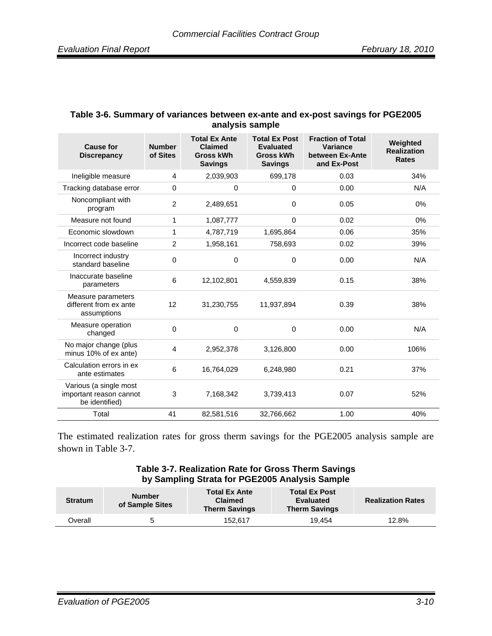#### **Table 3-6. Summary of variances between ex-ante and ex-post savings for PGE2005 analysis sample**

| <b>Cause for</b><br><b>Discrepancy</b>                              | <b>Number</b><br>of Sites | <b>Total Ex Ante</b><br><b>Claimed</b><br><b>Gross kWh</b><br><b>Savings</b> | <b>Total Ex Post</b><br><b>Evaluated</b><br><b>Gross kWh</b><br><b>Savings</b> | <b>Fraction of Total</b><br><b>Variance</b><br>between Ex-Ante<br>and Ex-Post | Weighted<br><b>Realization</b><br><b>Rates</b> |
|---------------------------------------------------------------------|---------------------------|------------------------------------------------------------------------------|--------------------------------------------------------------------------------|-------------------------------------------------------------------------------|------------------------------------------------|
| Ineligible measure                                                  | 4                         | 2,039,903                                                                    | 699,178                                                                        | 0.03                                                                          | 34%                                            |
| Tracking database error                                             | $\Omega$                  | 0                                                                            | 0                                                                              | 0.00                                                                          | N/A                                            |
| Noncompliant with<br>program                                        | $\overline{2}$            | 2,489,651                                                                    | $\mathbf 0$                                                                    | 0.05                                                                          | $0\%$                                          |
| Measure not found                                                   | 1                         | 1,087,777                                                                    | $\Omega$                                                                       | 0.02                                                                          | $0\%$                                          |
| Economic slowdown                                                   | 1                         | 4,787,719                                                                    | 1,695,864                                                                      | 0.06                                                                          | 35%                                            |
| Incorrect code baseline                                             | $\overline{2}$            | 1,958,161                                                                    | 758,693                                                                        | 0.02                                                                          | 39%                                            |
| Incorrect industry<br>standard baseline                             | 0                         | 0                                                                            | 0                                                                              | 0.00                                                                          | N/A                                            |
| Inaccurate baseline<br>parameters                                   | 6                         | 12,102,801                                                                   | 4.559.839                                                                      | 0.15                                                                          | 38%                                            |
| Measure parameters<br>different from ex ante<br>assumptions         | 12                        | 31,230,755                                                                   | 11,937,894                                                                     | 0.39                                                                          | 38%                                            |
| Measure operation<br>changed                                        | 0                         | 0                                                                            | 0                                                                              | 0.00                                                                          | N/A                                            |
| No major change (plus<br>minus 10% of ex ante)                      | 4                         | 2,952,378                                                                    | 3,126,800                                                                      | 0.00                                                                          | 106%                                           |
| Calculation errors in ex<br>ante estimates                          | 6                         | 16,764,029                                                                   | 6,248,980                                                                      | 0.21                                                                          | 37%                                            |
| Various (a single most<br>important reason cannot<br>be identified) | 3                         | 7,168,342                                                                    | 3,739,413                                                                      | 0.07                                                                          | 52%                                            |
| Total                                                               | 41                        | 82,581,516                                                                   | 32,766,662                                                                     | 1.00                                                                          | 40%                                            |

The estimated realization rates for gross therm savings for the PGE2005 analysis sample are shown in Table 3-7.

#### **Table 3-7. Realization Rate for Gross Therm Savings by Sampling Strata for PGE2005 Analysis Sample**

| <b>Stratum</b> | <b>Number</b><br>of Sample Sites | <b>Total Ex Ante</b><br><b>Claimed</b><br><b>Therm Savings</b> | <b>Total Ex Post</b><br><b>Evaluated</b><br><b>Therm Savings</b> | <b>Realization Rates</b> |
|----------------|----------------------------------|----------------------------------------------------------------|------------------------------------------------------------------|--------------------------|
| <b>Dverall</b> |                                  | 152.617                                                        | 19.454                                                           | 12.8%                    |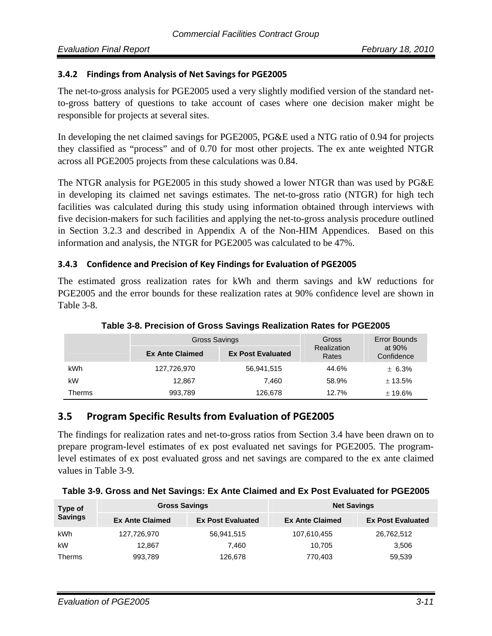#### **3.4.2 Findings from Analysis of Net Savings for PGE2005**

The net-to-gross analysis for PGE2005 used a very slightly modified version of the standard netto-gross battery of questions to take account of cases where one decision maker might be responsible for projects at several sites.

In developing the net claimed savings for PGE2005, PG&E used a NTG ratio of 0.94 for projects they classified as "process" and of 0.70 for most other projects. The ex ante weighted NTGR across all PGE2005 projects from these calculations was 0.84.

The NTGR analysis for PGE2005 in this study showed a lower NTGR than was used by PG&E in developing its claimed net savings estimates. The net-to-gross ratio (NTGR) for high tech facilities was calculated during this study using information obtained through interviews with five decision-makers for such facilities and applying the net-to-gross analysis procedure outlined in Section 3.2.3 and described in Appendix A of the Non-HIM Appendices. Based on this information and analysis, the NTGR for PGE2005 was calculated to be 47%.

#### **3.4.3 Confidence and Precision of Key Findings for Evaluation of PGE2005**

The estimated gross realization rates for kWh and therm savings and kW reductions for PGE2005 and the error bounds for these realization rates at 90% confidence level are shown in Table 3-8.

|        | Gross Savings          |                          | Gross                | Error Bounds           |  |
|--------|------------------------|--------------------------|----------------------|------------------------|--|
|        | <b>Ex Ante Claimed</b> | <b>Ex Post Evaluated</b> | Realization<br>Rates | at $90%$<br>Confidence |  |
| kWh    | 127,726,970            | 56,941,515               | 44.6%                | ± 6.3%                 |  |
| kW     | 12.867                 | 7.460                    | 58.9%                | ± 13.5%                |  |
| Therms | 993,789                | 126,678                  | 12.7%                | ± 19.6%                |  |

**Table 3-8. Precision of Gross Savings Realization Rates for PGE2005** 

### **3.5 Program Specific Results from Evaluation of PGE2005**

The findings for realization rates and net-to-gross ratios from Section 3.4 have been drawn on to prepare program-level estimates of ex post evaluated net savings for PGE2005. The programlevel estimates of ex post evaluated gross and net savings are compared to the ex ante claimed values in Table 3-9.

| Table 3-9. Gross and Net Savings: Ex Ante Claimed and Ex Post Evaluated for PGE2005 |  |  |
|-------------------------------------------------------------------------------------|--|--|
|                                                                                     |  |  |

| Type of        | <b>Gross Savings</b>   |                          | <b>Net Savings</b>     |                          |  |
|----------------|------------------------|--------------------------|------------------------|--------------------------|--|
| <b>Savings</b> | <b>Ex Ante Claimed</b> | <b>Ex Post Evaluated</b> | <b>Ex Ante Claimed</b> | <b>Ex Post Evaluated</b> |  |
| kWh            | 127,726,970            | 56,941,515               | 107,610,455            | 26,762,512               |  |
| kW             | 12.867                 | 7.460                    | 10.705                 | 3,506                    |  |
| <b>Therms</b>  | 993,789                | 126,678                  | 770,403                | 59,539                   |  |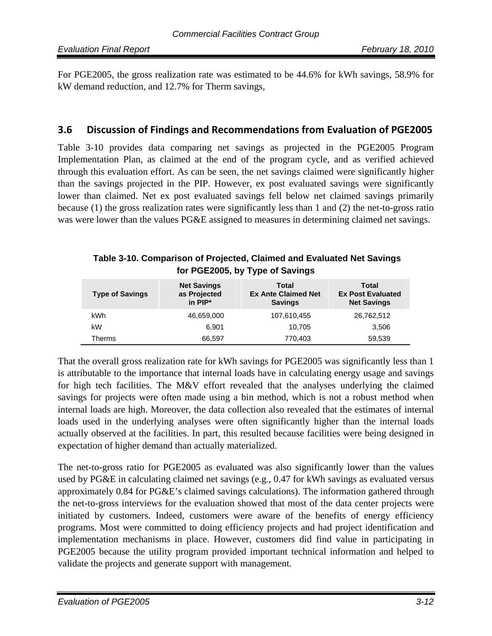For PGE2005, the gross realization rate was estimated to be 44.6% for kWh savings, 58.9% for kW demand reduction, and 12.7% for Therm savings,

## **3.6 Discussion of Findings and Recommendations from Evaluation of PGE2005**

Table 3-10 provides data comparing net savings as projected in the PGE2005 Program Implementation Plan, as claimed at the end of the program cycle, and as verified achieved through this evaluation effort. As can be seen, the net savings claimed were significantly higher than the savings projected in the PIP. However, ex post evaluated savings were significantly lower than claimed. Net ex post evaluated savings fell below net claimed savings primarily because (1) the gross realization rates were significantly less than 1 and (2) the net-to-gross ratio was were lower than the values PG&E assigned to measures in determining claimed net savings.

#### **Table 3-10. Comparison of Projected, Claimed and Evaluated Net Savings for PGE2005, by Type of Savings**

| <b>Type of Savings</b> | <b>Net Savings</b><br>as Projected<br>in $PIP^*$ | <b>Total</b><br><b>Ex Ante Claimed Net</b><br><b>Savings</b> | <b>Total</b><br><b>Ex Post Evaluated</b><br><b>Net Savings</b> |
|------------------------|--------------------------------------------------|--------------------------------------------------------------|----------------------------------------------------------------|
| kWh                    | 46,659,000                                       | 107,610,455                                                  | 26,762,512                                                     |
| kW                     | 6.901                                            | 10.705                                                       | 3,506                                                          |
| Therms                 | 66.597                                           | 770,403                                                      | 59,539                                                         |

That the overall gross realization rate for kWh savings for PGE2005 was significantly less than 1 is attributable to the importance that internal loads have in calculating energy usage and savings for high tech facilities. The M&V effort revealed that the analyses underlying the claimed savings for projects were often made using a bin method, which is not a robust method when internal loads are high. Moreover, the data collection also revealed that the estimates of internal loads used in the underlying analyses were often significantly higher than the internal loads actually observed at the facilities. In part, this resulted because facilities were being designed in expectation of higher demand than actually materialized.

The net-to-gross ratio for PGE2005 as evaluated was also significantly lower than the values used by PG&E in calculating claimed net savings (e.g., 0.47 for kWh savings as evaluated versus approximately 0.84 for PG&E's claimed savings calculations). The information gathered through the net-to-gross interviews for the evaluation showed that most of the data center projects were initiated by customers. Indeed, customers were aware of the benefits of energy efficiency programs. Most were committed to doing efficiency projects and had project identification and implementation mechanisms in place. However, customers did find value in participating in PGE2005 because the utility program provided important technical information and helped to validate the projects and generate support with management.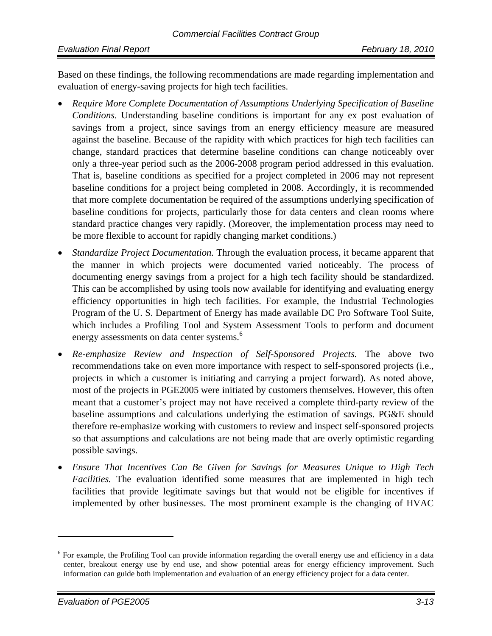Based on these findings, the following recommendations are made regarding implementation and evaluation of energy-saving projects for high tech facilities.

- *Require More Complete Documentation of Assumptions Underlying Specification of Baseline Conditions.* Understanding baseline conditions is important for any ex post evaluation of savings from a project, since savings from an energy efficiency measure are measured against the baseline. Because of the rapidity with which practices for high tech facilities can change, standard practices that determine baseline conditions can change noticeably over only a three-year period such as the 2006-2008 program period addressed in this evaluation. That is, baseline conditions as specified for a project completed in 2006 may not represent baseline conditions for a project being completed in 2008. Accordingly, it is recommended that more complete documentation be required of the assumptions underlying specification of baseline conditions for projects, particularly those for data centers and clean rooms where standard practice changes very rapidly. (Moreover, the implementation process may need to be more flexible to account for rapidly changing market conditions.)
- *Standardize Project Documentation.* Through the evaluation process, it became apparent that the manner in which projects were documented varied noticeably. The process of documenting energy savings from a project for a high tech facility should be standardized. This can be accomplished by using tools now available for identifying and evaluating energy efficiency opportunities in high tech facilities. For example, the Industrial Technologies Program of the U. S. Department of Energy has made available DC Pro Software Tool Suite, which includes a Profiling Tool and System Assessment Tools to perform and document energy assessments on data center systems.<sup>6</sup>
- *Re-emphasize Review and Inspection of Self-Sponsored Projects.* The above two recommendations take on even more importance with respect to self-sponsored projects (i.e., projects in which a customer is initiating and carrying a project forward). As noted above, most of the projects in PGE2005 were initiated by customers themselves. However, this often meant that a customer's project may not have received a complete third-party review of the baseline assumptions and calculations underlying the estimation of savings. PG&E should therefore re-emphasize working with customers to review and inspect self-sponsored projects so that assumptions and calculations are not being made that are overly optimistic regarding possible savings.
- *Ensure That Incentives Can Be Given for Savings for Measures Unique to High Tech Facilities.* The evaluation identified some measures that are implemented in high tech facilities that provide legitimate savings but that would not be eligible for incentives if implemented by other businesses. The most prominent example is the changing of HVAC

<sup>&</sup>lt;sup>6</sup> For example, the Profiling Tool can provide information regarding the overall energy use and efficiency in a data center, breakout energy use by end use, and show potential areas for energy efficiency improvement. Such information can guide both implementation and evaluation of an energy efficiency project for a data center.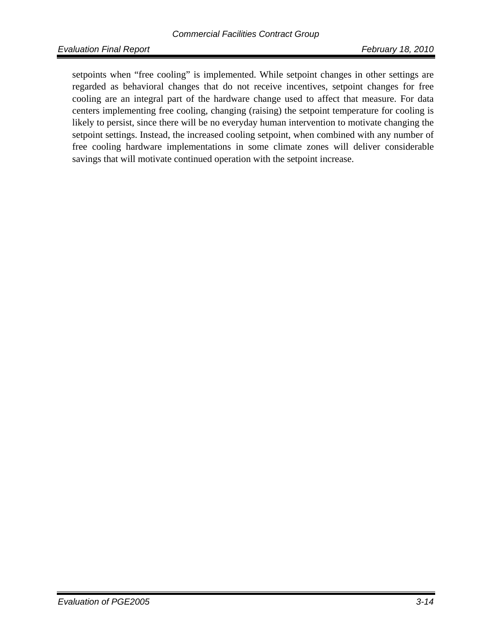setpoints when "free cooling" is implemented. While setpoint changes in other settings are regarded as behavioral changes that do not receive incentives, setpoint changes for free cooling are an integral part of the hardware change used to affect that measure. For data centers implementing free cooling, changing (raising) the setpoint temperature for cooling is likely to persist, since there will be no everyday human intervention to motivate changing the setpoint settings. Instead, the increased cooling setpoint, when combined with any number of free cooling hardware implementations in some climate zones will deliver considerable savings that will motivate continued operation with the setpoint increase.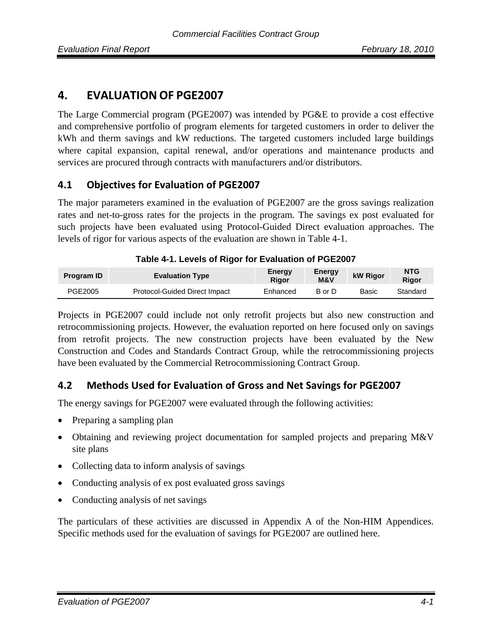# **4. EVALUATION OF PGE2007**

The Large Commercial program (PGE2007) was intended by PG&E to provide a cost effective and comprehensive portfolio of program elements for targeted customers in order to deliver the kWh and therm savings and kW reductions. The targeted customers included large buildings where capital expansion, capital renewal, and/or operations and maintenance products and services are procured through contracts with manufacturers and/or distributors.

### **4.1 Objectives for Evaluation of PGE2007**

The major parameters examined in the evaluation of PGE2007 are the gross savings realization rates and net-to-gross rates for the projects in the program. The savings ex post evaluated for such projects have been evaluated using Protocol-Guided Direct evaluation approaches. The levels of rigor for various aspects of the evaluation are shown in Table 4-1.

| <b>Program ID</b> | <b>Evaluation Type</b>        | Energy<br>Rigor | Energy<br><b>M&amp;V</b> | <b>kW Rigor</b> | <b>NTG</b><br>Rigor |
|-------------------|-------------------------------|-----------------|--------------------------|-----------------|---------------------|
| PGE2005           | Protocol-Guided Direct Impact | Enhanced        | B or D                   | Basic           | Standard            |

|  |  |  | Table 4-1. Levels of Rigor for Evaluation of PGE2007 |  |
|--|--|--|------------------------------------------------------|--|
|--|--|--|------------------------------------------------------|--|

Projects in PGE2007 could include not only retrofit projects but also new construction and retrocommissioning projects. However, the evaluation reported on here focused only on savings from retrofit projects. The new construction projects have been evaluated by the New Construction and Codes and Standards Contract Group, while the retrocommissioning projects have been evaluated by the Commercial Retrocommissioning Contract Group.

# **4.2 Methods Used for Evaluation of Gross and Net Savings for PGE2007**

The energy savings for PGE2007 were evaluated through the following activities:

- Preparing a sampling plan
- Obtaining and reviewing project documentation for sampled projects and preparing M&V site plans
- Collecting data to inform analysis of savings
- Conducting analysis of ex post evaluated gross savings
- Conducting analysis of net savings

The particulars of these activities are discussed in Appendix A of the Non-HIM Appendices. Specific methods used for the evaluation of savings for PGE2007 are outlined here.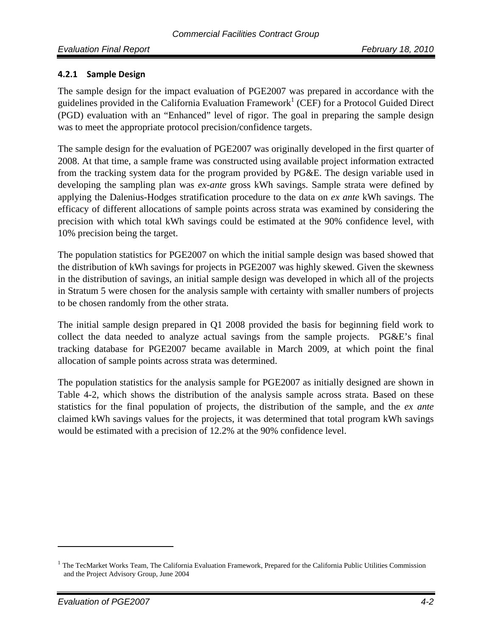#### **4.2.1 Sample Design**

The sample design for the impact evaluation of PGE2007 was prepared in accordance with the guidelines provided in the California Evaluation Framework<sup>1</sup> (CEF) for a Protocol Guided Direct (PGD) evaluation with an "Enhanced" level of rigor. The goal in preparing the sample design was to meet the appropriate protocol precision/confidence targets.

The sample design for the evaluation of PGE2007 was originally developed in the first quarter of 2008. At that time, a sample frame was constructed using available project information extracted from the tracking system data for the program provided by PG&E. The design variable used in developing the sampling plan was *ex-ante* gross kWh savings. Sample strata were defined by applying the Dalenius-Hodges stratification procedure to the data on *ex ante* kWh savings. The efficacy of different allocations of sample points across strata was examined by considering the precision with which total kWh savings could be estimated at the 90% confidence level, with 10% precision being the target.

The population statistics for PGE2007 on which the initial sample design was based showed that the distribution of kWh savings for projects in PGE2007 was highly skewed. Given the skewness in the distribution of savings, an initial sample design was developed in which all of the projects in Stratum 5 were chosen for the analysis sample with certainty with smaller numbers of projects to be chosen randomly from the other strata.

The initial sample design prepared in Q1 2008 provided the basis for beginning field work to collect the data needed to analyze actual savings from the sample projects. PG&E's final tracking database for PGE2007 became available in March 2009, at which point the final allocation of sample points across strata was determined.

The population statistics for the analysis sample for PGE2007 as initially designed are shown in Table 4-2, which shows the distribution of the analysis sample across strata. Based on these statistics for the final population of projects, the distribution of the sample, and the *ex ante* claimed kWh savings values for the projects, it was determined that total program kWh savings would be estimated with a precision of 12.2% at the 90% confidence level.

 $1$  The TecMarket Works Team, The California Evaluation Framework, Prepared for the California Public Utilities Commission and the Project Advisory Group, June 2004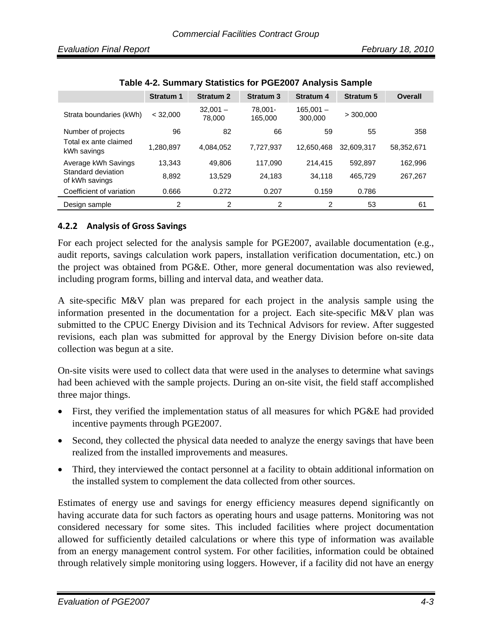|                                      | <b>Stratum 1</b> | <b>Stratum 2</b> | <b>Stratum 3</b> | <b>Stratum 4</b> | <b>Stratum 5</b> | <b>Overall</b> |
|--------------------------------------|------------------|------------------|------------------|------------------|------------------|----------------|
| Strata boundaries (kWh)              | < 32.000         | $32.001 -$       | 78.001-          | $165.001 -$      | > 300,000        |                |
|                                      |                  | 78.000           | 165.000          | 300,000          |                  |                |
| Number of projects                   | 96               | 82               | 66               | 59               | 55               | 358            |
| Total ex ante claimed<br>kWh savings | 1,280,897        | 4.084.052        | 7.727.937        | 12.650.468       | 32.609.317       | 58,352,671     |
| Average kWh Savings                  | 13,343           | 49.806           | 117,090          | 214,415          | 592,897          | 162,996        |
| Standard deviation<br>of kWh savings | 8,892            | 13,529           | 24,183           | 34.118           | 465,729          | 267,267        |
| Coefficient of variation             | 0.666            | 0.272            | 0.207            | 0.159            | 0.786            |                |
| Design sample                        | $\overline{2}$   | 2                | 2                | 2                | 53               | 61             |

**Table 4-2. Summary Statistics for PGE2007 Analysis Sample** 

#### **4.2.2 Analysis of Gross Savings**

For each project selected for the analysis sample for PGE2007, available documentation (e.g., audit reports, savings calculation work papers, installation verification documentation, etc.) on the project was obtained from PG&E. Other, more general documentation was also reviewed, including program forms, billing and interval data, and weather data.

A site-specific M&V plan was prepared for each project in the analysis sample using the information presented in the documentation for a project. Each site-specific M&V plan was submitted to the CPUC Energy Division and its Technical Advisors for review. After suggested revisions, each plan was submitted for approval by the Energy Division before on-site data collection was begun at a site.

On-site visits were used to collect data that were used in the analyses to determine what savings had been achieved with the sample projects. During an on-site visit, the field staff accomplished three major things.

- First, they verified the implementation status of all measures for which PG&E had provided incentive payments through PGE2007.
- Second, they collected the physical data needed to analyze the energy savings that have been realized from the installed improvements and measures.
- Third, they interviewed the contact personnel at a facility to obtain additional information on the installed system to complement the data collected from other sources.

Estimates of energy use and savings for energy efficiency measures depend significantly on having accurate data for such factors as operating hours and usage patterns. Monitoring was not considered necessary for some sites. This included facilities where project documentation allowed for sufficiently detailed calculations or where this type of information was available from an energy management control system. For other facilities, information could be obtained through relatively simple monitoring using loggers. However, if a facility did not have an energy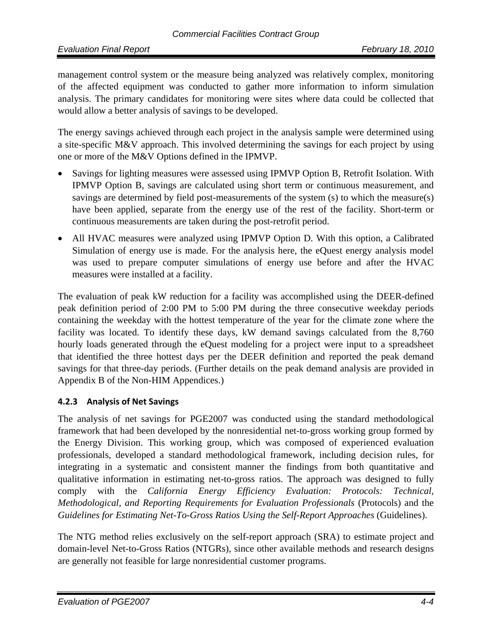management control system or the measure being analyzed was relatively complex, monitoring of the affected equipment was conducted to gather more information to inform simulation analysis. The primary candidates for monitoring were sites where data could be collected that would allow a better analysis of savings to be developed.

The energy savings achieved through each project in the analysis sample were determined using a site-specific M&V approach. This involved determining the savings for each project by using one or more of the M&V Options defined in the IPMVP.

- Savings for lighting measures were assessed using IPMVP Option B, Retrofit Isolation. With IPMVP Option B, savings are calculated using short term or continuous measurement, and savings are determined by field post-measurements of the system (s) to which the measure(s) have been applied, separate from the energy use of the rest of the facility. Short-term or continuous measurements are taken during the post-retrofit period.
- All HVAC measures were analyzed using IPMVP Option D. With this option, a Calibrated Simulation of energy use is made. For the analysis here, the eQuest energy analysis model was used to prepare computer simulations of energy use before and after the HVAC measures were installed at a facility.

The evaluation of peak kW reduction for a facility was accomplished using the DEER-defined peak definition period of 2:00 PM to 5:00 PM during the three consecutive weekday periods containing the weekday with the hottest temperature of the year for the climate zone where the facility was located. To identify these days, kW demand savings calculated from the 8,760 hourly loads generated through the eQuest modeling for a project were input to a spreadsheet that identified the three hottest days per the DEER definition and reported the peak demand savings for that three-day periods. (Further details on the peak demand analysis are provided in Appendix B of the Non-HIM Appendices.)

#### **4.2.3 Analysis of Net Savings**

The analysis of net savings for PGE2007 was conducted using the standard methodological framework that had been developed by the nonresidential net-to-gross working group formed by the Energy Division. This working group, which was composed of experienced evaluation professionals, developed a standard methodological framework, including decision rules, for integrating in a systematic and consistent manner the findings from both quantitative and qualitative information in estimating net-to-gross ratios. The approach was designed to fully comply with the *California Energy Efficiency Evaluation: Protocols: Technical, Methodological, and Reporting Requirements for Evaluation Professionals* (Protocols) and the *Guidelines for Estimating Net-To-Gross Ratios Using the Self-Report Approaches (Guidelines).* 

The NTG method relies exclusively on the self-report approach (SRA) to estimate project and domain-level Net-to-Gross Ratios (NTGRs), since other available methods and research designs are generally not feasible for large nonresidential customer programs.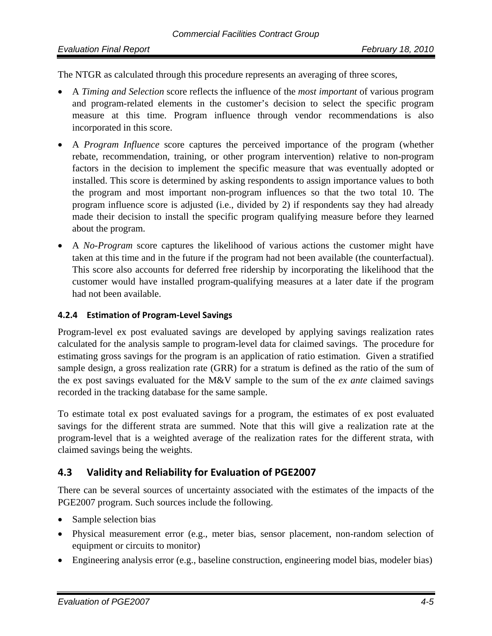#### *Evaluation Final Report February 18, 2010*

The NTGR as calculated through this procedure represents an averaging of three scores,

- A *Timing and Selection* score reflects the influence of the *most important* of various program and program-related elements in the customer's decision to select the specific program measure at this time. Program influence through vendor recommendations is also incorporated in this score.
- A *Program Influence* score captures the perceived importance of the program (whether rebate, recommendation, training, or other program intervention) relative to non-program factors in the decision to implement the specific measure that was eventually adopted or installed. This score is determined by asking respondents to assign importance values to both the program and most important non-program influences so that the two total 10. The program influence score is adjusted (i.e., divided by 2) if respondents say they had already made their decision to install the specific program qualifying measure before they learned about the program.
- A *No-Program* score captures the likelihood of various actions the customer might have taken at this time and in the future if the program had not been available (the counterfactual). This score also accounts for deferred free ridership by incorporating the likelihood that the customer would have installed program-qualifying measures at a later date if the program had not been available.

#### **4.2.4 Estimation of Program‐Level Savings**

Program-level ex post evaluated savings are developed by applying savings realization rates calculated for the analysis sample to program-level data for claimed savings. The procedure for estimating gross savings for the program is an application of ratio estimation. Given a stratified sample design, a gross realization rate (GRR) for a stratum is defined as the ratio of the sum of the ex post savings evaluated for the M&V sample to the sum of the *ex ante* claimed savings recorded in the tracking database for the same sample.

To estimate total ex post evaluated savings for a program, the estimates of ex post evaluated savings for the different strata are summed. Note that this will give a realization rate at the program-level that is a weighted average of the realization rates for the different strata, with claimed savings being the weights.

### **4.3 Validity and Reliability for Evaluation of PGE2007**

There can be several sources of uncertainty associated with the estimates of the impacts of the PGE2007 program. Such sources include the following.

- Sample selection bias
- Physical measurement error (e.g., meter bias, sensor placement, non-random selection of equipment or circuits to monitor)
- Engineering analysis error (e.g., baseline construction, engineering model bias, modeler bias)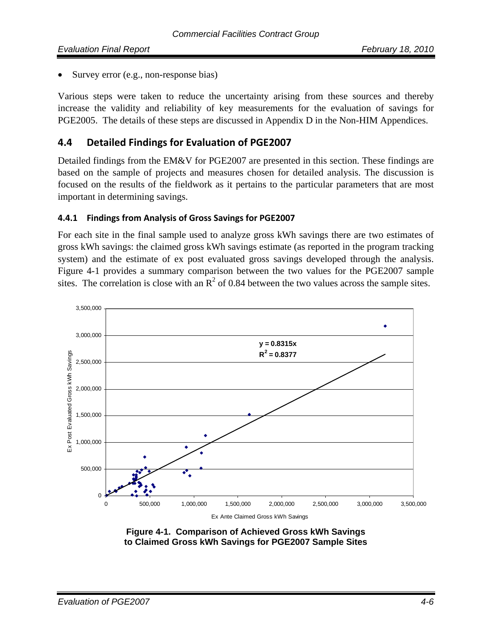Survey error (e.g., non-response bias)

Various steps were taken to reduce the uncertainty arising from these sources and thereby increase the validity and reliability of key measurements for the evaluation of savings for PGE2005. The details of these steps are discussed in Appendix D in the Non-HIM Appendices.

## **4.4 Detailed Findings for Evaluation of PGE2007**

Detailed findings from the EM&V for PGE2007 are presented in this section. These findings are based on the sample of projects and measures chosen for detailed analysis. The discussion is focused on the results of the fieldwork as it pertains to the particular parameters that are most important in determining savings.

#### **4.4.1 Findings from Analysis of Gross Savings for PGE2007**

For each site in the final sample used to analyze gross kWh savings there are two estimates of gross kWh savings: the claimed gross kWh savings estimate (as reported in the program tracking system) and the estimate of ex post evaluated gross savings developed through the analysis. Figure 4-1 provides a summary comparison between the two values for the PGE2007 sample sites. The correlation is close with an  $R^2$  of 0.84 between the two values across the sample sites.



 **Figure 4-1. Comparison of Achieved Gross kWh Savings to Claimed Gross kWh Savings for PGE2007 Sample Sites**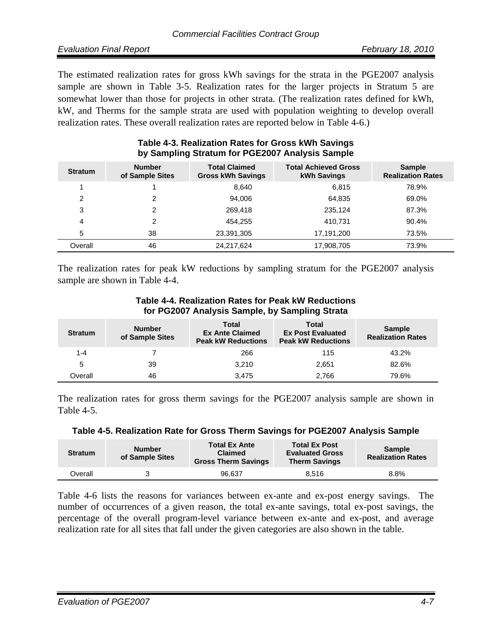The estimated realization rates for gross kWh savings for the strata in the PGE2007 analysis sample are shown in Table 3-5. Realization rates for the larger projects in Stratum 5 are somewhat lower than those for projects in other strata. (The realization rates defined for kWh, kW, and Therms for the sample strata are used with population weighting to develop overall realization rates. These overall realization rates are reported below in Table 4-6.)

| $\sim$ , companing constants for a concept station complete |                                  |                                                  |                                                   |                                           |
|-------------------------------------------------------------|----------------------------------|--------------------------------------------------|---------------------------------------------------|-------------------------------------------|
| <b>Stratum</b>                                              | <b>Number</b><br>of Sample Sites | <b>Total Claimed</b><br><b>Gross kWh Savings</b> | <b>Total Achieved Gross</b><br><b>kWh Savings</b> | <b>Sample</b><br><b>Realization Rates</b> |
|                                                             |                                  | 8,640                                            | 6,815                                             | 78.9%                                     |
| 2                                                           | 2                                | 94.006                                           | 64,835                                            | 69.0%                                     |
| 3                                                           | 2                                | 269,418                                          | 235,124                                           | 87.3%                                     |
| 4                                                           | 2                                | 454,255                                          | 410.731                                           | 90.4%                                     |
| 5                                                           | 38                               | 23,391,305                                       | 17,191,200                                        | 73.5%                                     |
| Overall                                                     | 46                               | 24,217,624                                       | 17,908,705                                        | 73.9%                                     |

#### **Table 4-3. Realization Rates for Gross kWh Savings by Sampling Stratum for PGE2007 Analysis Sample**

The realization rates for peak kW reductions by sampling stratum for the PGE2007 analysis sample are shown in Table 4-4.

#### **Table 4-4. Realization Rates for Peak kW Reductions for PG2007 Analysis Sample, by Sampling Strata**

| <b>Stratum</b> | <b>Number</b><br>of Sample Sites | Total<br><b>Ex Ante Claimed</b><br><b>Peak kW Reductions</b> | Total<br><b>Ex Post Evaluated</b><br><b>Peak kW Reductions</b> | <b>Sample</b><br><b>Realization Rates</b> |
|----------------|----------------------------------|--------------------------------------------------------------|----------------------------------------------------------------|-------------------------------------------|
| 1-4            |                                  | 266                                                          | 115                                                            | 43.2%                                     |
| 5              | 39                               | 3.210                                                        | 2.651                                                          | 82.6%                                     |
| Overall        | 46                               | 3.475                                                        | 2.766                                                          | 79.6%                                     |

The realization rates for gross therm savings for the PGE2007 analysis sample are shown in Table 4-5.

| Table 4-5. Realization Rate for Gross Therm Savings for PGE2007 Analysis Sample |  |  |
|---------------------------------------------------------------------------------|--|--|
|---------------------------------------------------------------------------------|--|--|

| <b>Stratum</b> | <b>Number</b><br>of Sample Sites | <b>Total Ex Ante</b><br><b>Claimed</b><br><b>Gross Therm Savings</b> | <b>Total Ex Post</b><br><b>Evaluated Gross</b><br><b>Therm Savings</b> | <b>Sample</b><br><b>Realization Rates</b> |
|----------------|----------------------------------|----------------------------------------------------------------------|------------------------------------------------------------------------|-------------------------------------------|
| Overall        |                                  | 96.637                                                               | 8.516                                                                  | 8.8%                                      |

Table 4-6 lists the reasons for variances between ex-ante and ex-post energy savings. The number of occurrences of a given reason, the total ex-ante savings, total ex-post savings, the percentage of the overall program-level variance between ex-ante and ex-post, and average realization rate for all sites that fall under the given categories are also shown in the table.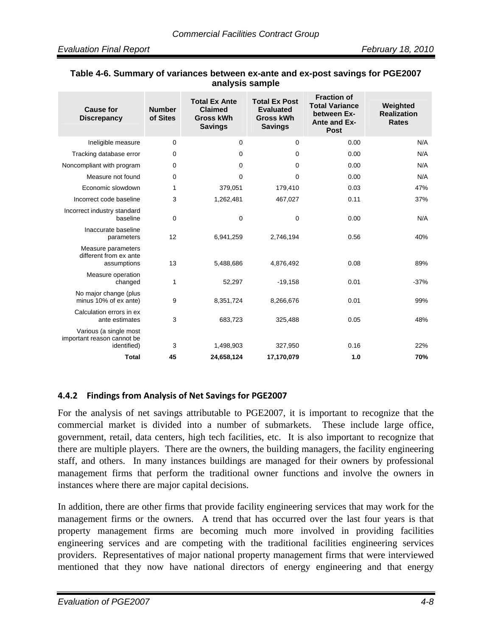| <b>Cause for</b><br><b>Discrepancy</b>                              | <b>Number</b><br>of Sites | <b>Total Ex Ante</b><br><b>Claimed</b><br><b>Gross kWh</b><br><b>Savings</b> | <b>Total Ex Post</b><br><b>Evaluated</b><br><b>Gross kWh</b><br><b>Savings</b> | <b>Fraction of</b><br><b>Total Variance</b><br>between Ex-<br><b>Ante and Ex-</b><br><b>Post</b> | Weighted<br><b>Realization</b><br><b>Rates</b> |  |  |  |  |
|---------------------------------------------------------------------|---------------------------|------------------------------------------------------------------------------|--------------------------------------------------------------------------------|--------------------------------------------------------------------------------------------------|------------------------------------------------|--|--|--|--|
| Ineligible measure                                                  | 0                         | 0                                                                            | $\Omega$                                                                       | 0.00                                                                                             | N/A                                            |  |  |  |  |
| Tracking database error                                             | 0                         | $\mathbf 0$                                                                  | $\Omega$                                                                       | 0.00                                                                                             | N/A                                            |  |  |  |  |
| Noncompliant with program                                           | 0                         | 0                                                                            | $\Omega$                                                                       | 0.00                                                                                             | N/A                                            |  |  |  |  |
| Measure not found                                                   | 0                         | $\mathbf 0$                                                                  | $\Omega$                                                                       | 0.00                                                                                             | N/A                                            |  |  |  |  |
| Economic slowdown                                                   | 1                         | 379,051                                                                      | 179,410                                                                        | 0.03                                                                                             | 47%                                            |  |  |  |  |
| Incorrect code baseline                                             | 3                         | 1,262,481                                                                    | 467,027                                                                        | 0.11                                                                                             | 37%                                            |  |  |  |  |
| Incorrect industry standard<br>baseline                             | 0                         | 0                                                                            | 0                                                                              | 0.00                                                                                             | N/A                                            |  |  |  |  |
| Inaccurate baseline<br>parameters                                   | 12                        | 6,941,259                                                                    | 2,746,194                                                                      | 0.56                                                                                             | 40%                                            |  |  |  |  |
| Measure parameters<br>different from ex ante<br>assumptions         | 13                        | 5,488,686                                                                    | 4,876,492                                                                      | 0.08                                                                                             | 89%                                            |  |  |  |  |
| Measure operation<br>changed                                        | 1                         | 52,297                                                                       | $-19,158$                                                                      | 0.01                                                                                             | $-37%$                                         |  |  |  |  |
| No major change (plus<br>minus 10% of ex ante)                      | 9                         | 8,351,724                                                                    | 8,266,676                                                                      | 0.01                                                                                             | 99%                                            |  |  |  |  |
| Calculation errors in ex<br>ante estimates                          | 3                         | 683,723                                                                      | 325,488                                                                        | 0.05                                                                                             | 48%                                            |  |  |  |  |
| Various (a single most<br>important reason cannot be<br>identified) | 3                         | 1,498,903                                                                    | 327,950                                                                        | 0.16                                                                                             | 22%                                            |  |  |  |  |
| <b>Total</b>                                                        | 45                        | 24,658,124                                                                   | 17,170,079                                                                     | 1.0                                                                                              | 70%                                            |  |  |  |  |

#### **Table 4-6. Summary of variances between ex-ante and ex-post savings for PGE2007 analysis sample**

#### **4.4.2 Findings from Analysis of Net Savings for PGE2007**

For the analysis of net savings attributable to PGE2007, it is important to recognize that the commercial market is divided into a number of submarkets. These include large office, government, retail, data centers, high tech facilities, etc. It is also important to recognize that there are multiple players. There are the owners, the building managers, the facility engineering staff, and others. In many instances buildings are managed for their owners by professional management firms that perform the traditional owner functions and involve the owners in instances where there are major capital decisions.

In addition, there are other firms that provide facility engineering services that may work for the management firms or the owners. A trend that has occurred over the last four years is that property management firms are becoming much more involved in providing facilities engineering services and are competing with the traditional facilities engineering services providers. Representatives of major national property management firms that were interviewed mentioned that they now have national directors of energy engineering and that energy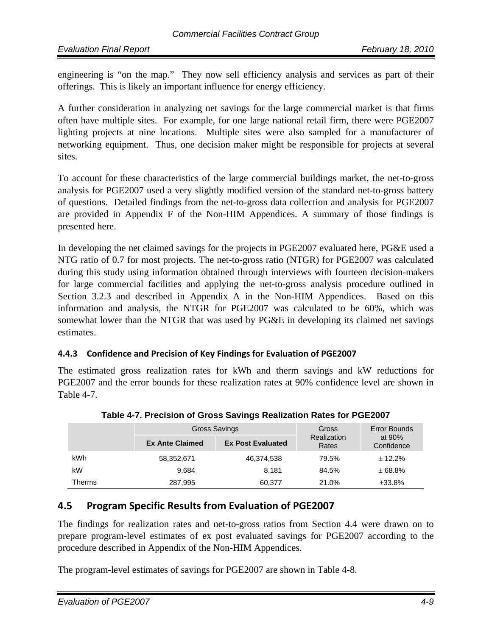engineering is "on the map." They now sell efficiency analysis and services as part of their offerings. This is likely an important influence for energy efficiency.

A further consideration in analyzing net savings for the large commercial market is that firms often have multiple sites. For example, for one large national retail firm, there were PGE2007 lighting projects at nine locations. Multiple sites were also sampled for a manufacturer of networking equipment. Thus, one decision maker might be responsible for projects at several sites.

To account for these characteristics of the large commercial buildings market, the net-to-gross analysis for PGE2007 used a very slightly modified version of the standard net-to-gross battery of questions. Detailed findings from the net-to-gross data collection and analysis for PGE2007 are provided in Appendix F of the Non-HIM Appendices. A summary of those findings is presented here.

In developing the net claimed savings for the projects in PGE2007 evaluated here, PG&E used a NTG ratio of 0.7 for most projects. The net-to-gross ratio (NTGR) for PGE2007 was calculated during this study using information obtained through interviews with fourteen decision-makers for large commercial facilities and applying the net-to-gross analysis procedure outlined in Section 3.2.3 and described in Appendix A in the Non-HIM Appendices. Based on this information and analysis, the NTGR for PGE2007 was calculated to be 60%, which was somewhat lower than the NTGR that was used by PG&E in developing its claimed net savings estimates.

#### **4.4.3 Confidence and Precision of Key Findings for Evaluation of PGE2007**

The estimated gross realization rates for kWh and therm savings and kW reductions for PGE2007 and the error bounds for these realization rates at 90% confidence level are shown in Table 4-7.

|               |                        | Gross Savings            | Error Bounds<br>Gross |                        |  |
|---------------|------------------------|--------------------------|-----------------------|------------------------|--|
|               | <b>Ex Ante Claimed</b> | <b>Ex Post Evaluated</b> | Realization<br>Rates  | at $90%$<br>Confidence |  |
| kWh           | 58,352,671             | 46,374,538               | 79.5%                 | ± 12.2%                |  |
| kW            | 9.684                  | 8.181                    | 84.5%                 | ± 68.8%                |  |
| <b>Therms</b> | 287,995                | 60.377                   | 21.0%                 | ±33.8%                 |  |

**Table 4-7. Precision of Gross Savings Realization Rates for PGE2007** 

# **4.5 Program Specific Results from Evaluation of PGE2007**

The findings for realization rates and net-to-gross ratios from Section 4.4 were drawn on to prepare program-level estimates of ex post evaluated savings for PGE2007 according to the procedure described in Appendix of the Non-HIM Appendices.

The program-level estimates of savings for PGE2007 are shown in Table 4-8.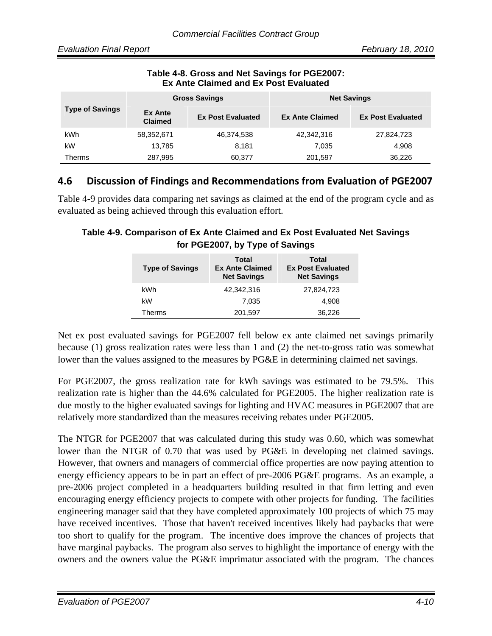| <b>Ex Ante Claimed and Ex Post Evaluated</b> |                                  |                          |                        |                          |  |  |  |
|----------------------------------------------|----------------------------------|--------------------------|------------------------|--------------------------|--|--|--|
|                                              |                                  | <b>Gross Savings</b>     | <b>Net Savings</b>     |                          |  |  |  |
| <b>Type of Savings</b>                       | <b>Ex Ante</b><br><b>Claimed</b> | <b>Ex Post Evaluated</b> | <b>Ex Ante Claimed</b> | <b>Ex Post Evaluated</b> |  |  |  |
| kWh                                          | 58,352,671                       | 46,374,538               | 42,342,316             | 27,824,723               |  |  |  |
| kW                                           | 13,785                           | 8,181                    | 7.035                  | 4,908                    |  |  |  |

# **Table 4-8. Gross and Net Savings for PGE2007:**

# **4.6 Discussion of Findings and Recommendations from Evaluation of PGE2007**

Therms 287,995 60,377 201,597 36,226

Table 4-9 provides data comparing net savings as claimed at the end of the program cycle and as evaluated as being achieved through this evaluation effort.

#### **Table 4-9. Comparison of Ex Ante Claimed and Ex Post Evaluated Net Savings for PGE2007, by Type of Savings**

| <b>Type of Savings</b> | Total<br><b>Ex Ante Claimed</b><br><b>Net Savings</b> | Total<br><b>Ex Post Evaluated</b><br><b>Net Savings</b> |
|------------------------|-------------------------------------------------------|---------------------------------------------------------|
| kWh                    | 42,342,316                                            | 27,824,723                                              |
| kW                     | 7.035                                                 | 4.908                                                   |
| Therms                 | 201,597                                               | 36,226                                                  |

Net ex post evaluated savings for PGE2007 fell below ex ante claimed net savings primarily because (1) gross realization rates were less than 1 and (2) the net-to-gross ratio was somewhat lower than the values assigned to the measures by PG&E in determining claimed net savings.

For PGE2007, the gross realization rate for kWh savings was estimated to be 79.5%. This realization rate is higher than the 44.6% calculated for PGE2005. The higher realization rate is due mostly to the higher evaluated savings for lighting and HVAC measures in PGE2007 that are relatively more standardized than the measures receiving rebates under PGE2005.

The NTGR for PGE2007 that was calculated during this study was 0.60, which was somewhat lower than the NTGR of 0.70 that was used by PG&E in developing net claimed savings. However, that owners and managers of commercial office properties are now paying attention to energy efficiency appears to be in part an effect of pre-2006 PG&E programs. As an example, a pre-2006 project completed in a headquarters building resulted in that firm letting and even encouraging energy efficiency projects to compete with other projects for funding. The facilities engineering manager said that they have completed approximately 100 projects of which 75 may have received incentives. Those that haven't received incentives likely had paybacks that were too short to qualify for the program. The incentive does improve the chances of projects that have marginal paybacks. The program also serves to highlight the importance of energy with the owners and the owners value the PG&E imprimatur associated with the program. The chances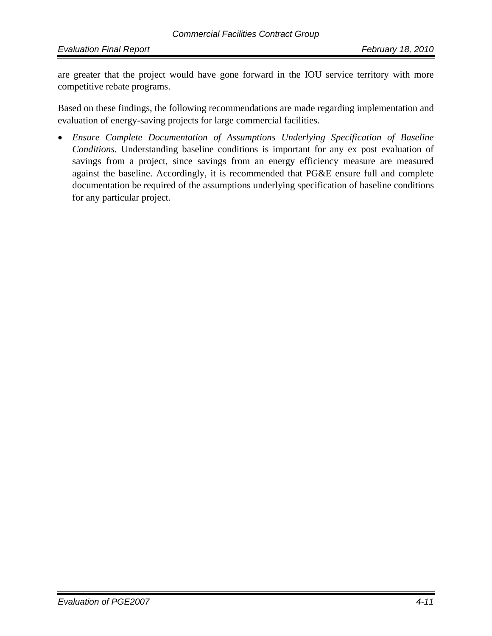are greater that the project would have gone forward in the IOU service territory with more competitive rebate programs.

Based on these findings, the following recommendations are made regarding implementation and evaluation of energy-saving projects for large commercial facilities.

• *Ensure Complete Documentation of Assumptions Underlying Specification of Baseline Conditions.* Understanding baseline conditions is important for any ex post evaluation of savings from a project, since savings from an energy efficiency measure are measured against the baseline. Accordingly, it is recommended that PG&E ensure full and complete documentation be required of the assumptions underlying specification of baseline conditions for any particular project.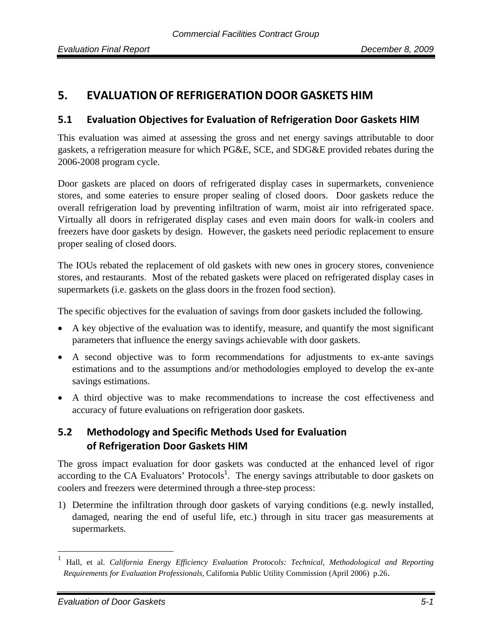# **5. EVALUATION OF REFRIGERATION DOOR GASKETS HIM**

#### **5.1 Evaluation Objectives for Evaluation of Refrigeration Door Gaskets HIM**

This evaluation was aimed at assessing the gross and net energy savings attributable to door gaskets, a refrigeration measure for which PG&E, SCE, and SDG&E provided rebates during the 2006-2008 program cycle.

Door gaskets are placed on doors of refrigerated display cases in supermarkets, convenience stores, and some eateries to ensure proper sealing of closed doors. Door gaskets reduce the overall refrigeration load by preventing infiltration of warm, moist air into refrigerated space. Virtually all doors in refrigerated display cases and even main doors for walk-in coolers and freezers have door gaskets by design. However, the gaskets need periodic replacement to ensure proper sealing of closed doors.

The IOUs rebated the replacement of old gaskets with new ones in grocery stores, convenience stores, and restaurants. Most of the rebated gaskets were placed on refrigerated display cases in supermarkets (i.e. gaskets on the glass doors in the frozen food section).

The specific objectives for the evaluation of savings from door gaskets included the following.

- A key objective of the evaluation was to identify, measure, and quantify the most significant parameters that influence the energy savings achievable with door gaskets.
- A second objective was to form recommendations for adjustments to ex-ante savings estimations and to the assumptions and/or methodologies employed to develop the ex-ante savings estimations.
- A third objective was to make recommendations to increase the cost effectiveness and accuracy of future evaluations on refrigeration door gaskets.

# **5.2 Methodology and Specific Methods Used for Evaluation of Refrigeration Door Gaskets HIM**

The gross impact evaluation for door gaskets was conducted at the enhanced level of rigor according to the CA Evaluators' Protocols<sup>1</sup>. The energy savings attributable to door gaskets on coolers and freezers were determined through a three-step process:

1) Determine the infiltration through door gaskets of varying conditions (e.g. newly installed, damaged, nearing the end of useful life, etc.) through in situ tracer gas measurements at supermarkets.

<sup>1</sup> Hall, et al. *California Energy Efficiency Evaluation Protocols: Technical, Methodological and Reporting Requirements for Evaluation Professionals,* California Public Utility Commission (April 2006) p.26.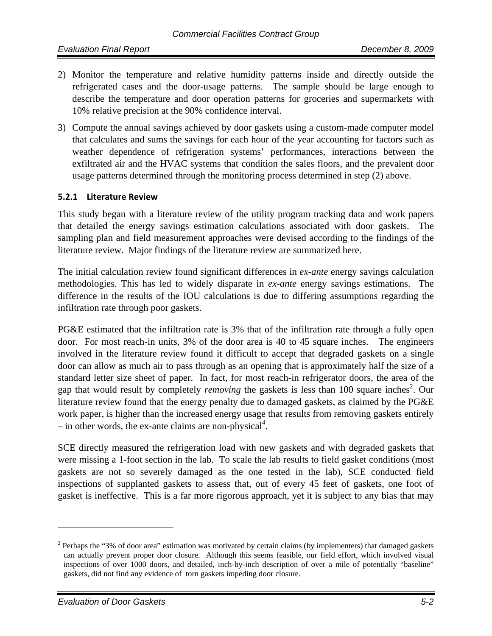- 2) Monitor the temperature and relative humidity patterns inside and directly outside the refrigerated cases and the door-usage patterns. The sample should be large enough to describe the temperature and door operation patterns for groceries and supermarkets with 10% relative precision at the 90% confidence interval.
- 3) Compute the annual savings achieved by door gaskets using a custom-made computer model that calculates and sums the savings for each hour of the year accounting for factors such as weather dependence of refrigeration systems' performances, interactions between the exfiltrated air and the HVAC systems that condition the sales floors, and the prevalent door usage patterns determined through the monitoring process determined in step (2) above.

#### **5.2.1 Literature Review**

This study began with a literature review of the utility program tracking data and work papers that detailed the energy savings estimation calculations associated with door gaskets. The sampling plan and field measurement approaches were devised according to the findings of the literature review. Major findings of the literature review are summarized here.

The initial calculation review found significant differences in *ex-ante* energy savings calculation methodologies. This has led to widely disparate in *ex-ante* energy savings estimations. The difference in the results of the IOU calculations is due to differing assumptions regarding the infiltration rate through poor gaskets.

PG&E estimated that the infiltration rate is 3% that of the infiltration rate through a fully open door. For most reach-in units, 3% of the door area is 40 to 45 square inches. The engineers involved in the literature review found it difficult to accept that degraded gaskets on a single door can allow as much air to pass through as an opening that is approximately half the size of a standard letter size sheet of paper. In fact, for most reach-in refrigerator doors, the area of the gap that would result by completely *removing* the gaskets is less than 100 square inches<sup>2</sup>. Our literature review found that the energy penalty due to damaged gaskets, as claimed by the PG&E work paper, is higher than the increased energy usage that results from removing gaskets entirely  $-$  in other words, the ex-ante claims are non-physical<sup>4</sup>.

SCE directly measured the refrigeration load with new gaskets and with degraded gaskets that were missing a 1-foot section in the lab. To scale the lab results to field gasket conditions (most gaskets are not so severely damaged as the one tested in the lab), SCE conducted field inspections of supplanted gaskets to assess that, out of every 45 feet of gaskets, one foot of gasket is ineffective. This is a far more rigorous approach, yet it is subject to any bias that may

<u>.</u>

 $2$  Perhaps the "3% of door area" estimation was motivated by certain claims (by implementers) that damaged gaskets can actually prevent proper door closure. Although this seems feasible, our field effort, which involved visual inspections of over 1000 doors, and detailed, inch-by-inch description of over a mile of potentially "baseline" gaskets, did not find any evidence of torn gaskets impeding door closure.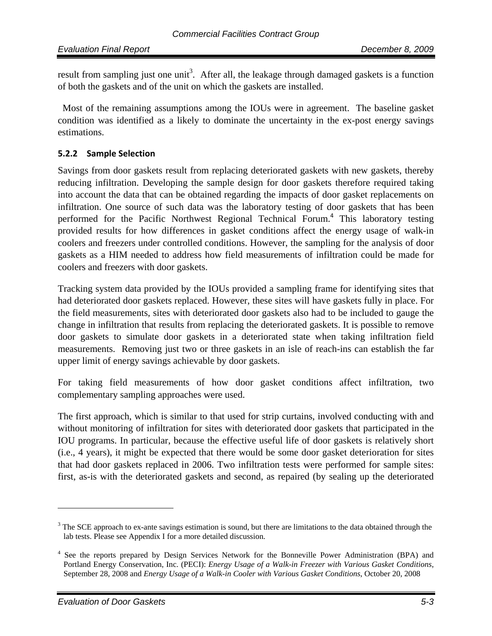result from sampling just one unit<sup>3</sup>. After all, the leakage through damaged gaskets is a function of both the gaskets and of the unit on which the gaskets are installed.

 Most of the remaining assumptions among the IOUs were in agreement. The baseline gasket condition was identified as a likely to dominate the uncertainty in the ex-post energy savings estimations.

#### **5.2.2 Sample Selection**

Savings from door gaskets result from replacing deteriorated gaskets with new gaskets, thereby reducing infiltration. Developing the sample design for door gaskets therefore required taking into account the data that can be obtained regarding the impacts of door gasket replacements on infiltration. One source of such data was the laboratory testing of door gaskets that has been performed for the Pacific Northwest Regional Technical Forum.<sup>4</sup> This laboratory testing provided results for how differences in gasket conditions affect the energy usage of walk-in coolers and freezers under controlled conditions. However, the sampling for the analysis of door gaskets as a HIM needed to address how field measurements of infiltration could be made for coolers and freezers with door gaskets.

Tracking system data provided by the IOUs provided a sampling frame for identifying sites that had deteriorated door gaskets replaced. However, these sites will have gaskets fully in place. For the field measurements, sites with deteriorated door gaskets also had to be included to gauge the change in infiltration that results from replacing the deteriorated gaskets. It is possible to remove door gaskets to simulate door gaskets in a deteriorated state when taking infiltration field measurements. Removing just two or three gaskets in an isle of reach-ins can establish the far upper limit of energy savings achievable by door gaskets.

For taking field measurements of how door gasket conditions affect infiltration, two complementary sampling approaches were used.

The first approach, which is similar to that used for strip curtains, involved conducting with and without monitoring of infiltration for sites with deteriorated door gaskets that participated in the IOU programs. In particular, because the effective useful life of door gaskets is relatively short (i.e., 4 years), it might be expected that there would be some door gasket deterioration for sites that had door gaskets replaced in 2006. Two infiltration tests were performed for sample sites: first, as-is with the deteriorated gaskets and second, as repaired (by sealing up the deteriorated

 $3$  The SCE approach to ex-ante savings estimation is sound, but there are limitations to the data obtained through the lab tests. Please see Appendix I for a more detailed discussion.

<sup>&</sup>lt;sup>4</sup> See the reports prepared by Design Services Network for the Bonneville Power Administration (BPA) and Portland Energy Conservation, Inc. (PECI): *Energy Usage of a Walk-in Freezer with Various Gasket Conditions*, September 28, 2008 and *Energy Usage of a Walk-in Cooler with Various Gasket Conditions*, October 20, 2008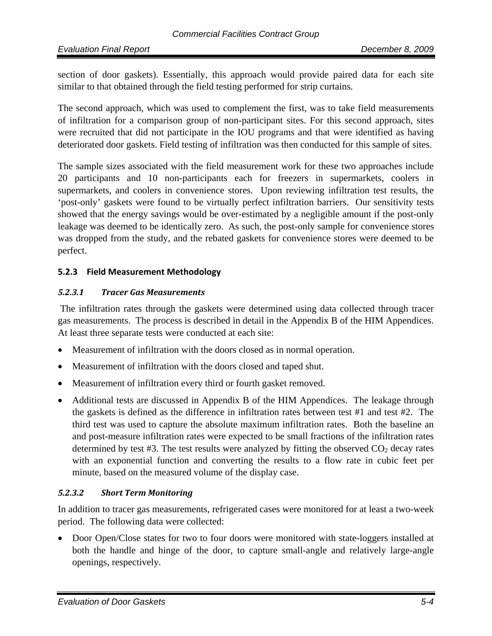section of door gaskets). Essentially, this approach would provide paired data for each site similar to that obtained through the field testing performed for strip curtains.

The second approach, which was used to complement the first, was to take field measurements of infiltration for a comparison group of non-participant sites. For this second approach, sites were recruited that did not participate in the IOU programs and that were identified as having deteriorated door gaskets. Field testing of infiltration was then conducted for this sample of sites.

The sample sizes associated with the field measurement work for these two approaches include 20 participants and 10 non-participants each for freezers in supermarkets, coolers in supermarkets, and coolers in convenience stores. Upon reviewing infiltration test results, the 'post-only' gaskets were found to be virtually perfect infiltration barriers. Our sensitivity tests showed that the energy savings would be over-estimated by a negligible amount if the post-only leakage was deemed to be identically zero. As such, the post-only sample for convenience stores was dropped from the study, and the rebated gaskets for convenience stores were deemed to be perfect.

#### **5.2.3 Field Measurement Methodology**

#### *5.2.3.1 Tracer Gas Measurements*

 The infiltration rates through the gaskets were determined using data collected through tracer gas measurements. The process is described in detail in the Appendix B of the HIM Appendices. At least three separate tests were conducted at each site:

- Measurement of infiltration with the doors closed as in normal operation.
- Measurement of infiltration with the doors closed and taped shut.
- Measurement of infiltration every third or fourth gasket removed.
- Additional tests are discussed in Appendix B of the HIM Appendices. The leakage through the gaskets is defined as the difference in infiltration rates between test #1 and test #2. The third test was used to capture the absolute maximum infiltration rates. Both the baseline an and post-measure infiltration rates were expected to be small fractions of the infiltration rates determined by test #3. The test results were analyzed by fitting the observed  $CO<sub>2</sub>$  decay rates with an exponential function and converting the results to a flow rate in cubic feet per minute, based on the measured volume of the display case.

#### *5.2.3.2 Short Term Monitoring*

In addition to tracer gas measurements, refrigerated cases were monitored for at least a two-week period. The following data were collected:

• Door Open/Close states for two to four doors were monitored with state-loggers installed at both the handle and hinge of the door, to capture small-angle and relatively large-angle openings, respectively.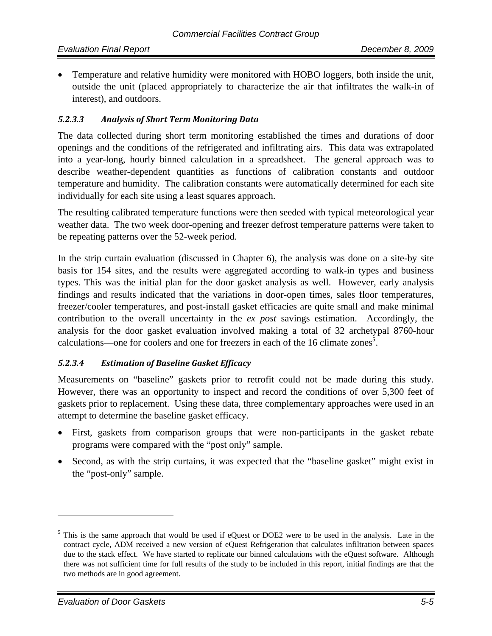• Temperature and relative humidity were monitored with HOBO loggers, both inside the unit, outside the unit (placed appropriately to characterize the air that infiltrates the walk-in of interest), and outdoors.

#### *5.2.3.3 Analysis of Short Term Monitoring Data*

The data collected during short term monitoring established the times and durations of door openings and the conditions of the refrigerated and infiltrating airs. This data was extrapolated into a year-long, hourly binned calculation in a spreadsheet. The general approach was to describe weather-dependent quantities as functions of calibration constants and outdoor temperature and humidity. The calibration constants were automatically determined for each site individually for each site using a least squares approach.

The resulting calibrated temperature functions were then seeded with typical meteorological year weather data. The two week door-opening and freezer defrost temperature patterns were taken to be repeating patterns over the 52-week period.

In the strip curtain evaluation (discussed in Chapter 6), the analysis was done on a site-by site basis for 154 sites, and the results were aggregated according to walk-in types and business types. This was the initial plan for the door gasket analysis as well. However, early analysis findings and results indicated that the variations in door-open times, sales floor temperatures, freezer/cooler temperatures, and post-install gasket efficacies are quite small and make minimal contribution to the overall uncertainty in the *ex post* savings estimation. Accordingly, the analysis for the door gasket evaluation involved making a total of 32 archetypal 8760-hour calculations—one for coolers and one for freezers in each of the 16 climate zones<sup>5</sup>.

#### *5.2.3.4 Estimation of Baseline Gasket Efficacy*

Measurements on "baseline" gaskets prior to retrofit could not be made during this study. However, there was an opportunity to inspect and record the conditions of over 5,300 feet of gaskets prior to replacement. Using these data, three complementary approaches were used in an attempt to determine the baseline gasket efficacy.

- First, gaskets from comparison groups that were non-participants in the gasket rebate programs were compared with the "post only" sample.
- Second, as with the strip curtains, it was expected that the "baseline gasket" might exist in the "post-only" sample.

<sup>&</sup>lt;sup>5</sup> This is the same approach that would be used if eQuest or DOE2 were to be used in the analysis. Late in the contract cycle, ADM received a new version of eQuest Refrigeration that calculates infiltration between spaces due to the stack effect. We have started to replicate our binned calculations with the eQuest software. Although there was not sufficient time for full results of the study to be included in this report, initial findings are that the two methods are in good agreement.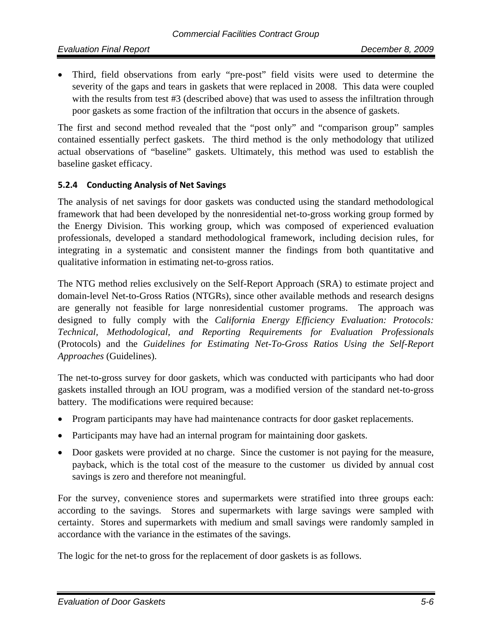• Third, field observations from early "pre-post" field visits were used to determine the severity of the gaps and tears in gaskets that were replaced in 2008. This data were coupled with the results from test #3 (described above) that was used to assess the infiltration through poor gaskets as some fraction of the infiltration that occurs in the absence of gaskets.

The first and second method revealed that the "post only" and "comparison group" samples contained essentially perfect gaskets. The third method is the only methodology that utilized actual observations of "baseline" gaskets. Ultimately, this method was used to establish the baseline gasket efficacy.

#### **5.2.4 Conducting Analysis of Net Savings**

The analysis of net savings for door gaskets was conducted using the standard methodological framework that had been developed by the nonresidential net-to-gross working group formed by the Energy Division. This working group, which was composed of experienced evaluation professionals, developed a standard methodological framework, including decision rules, for integrating in a systematic and consistent manner the findings from both quantitative and qualitative information in estimating net-to-gross ratios.

The NTG method relies exclusively on the Self-Report Approach (SRA) to estimate project and domain-level Net-to-Gross Ratios (NTGRs), since other available methods and research designs are generally not feasible for large nonresidential customer programs. The approach was designed to fully comply with the *California Energy Efficiency Evaluation: Protocols: Technical, Methodological, and Reporting Requirements for Evaluation Professionals*  (Protocols) and the *Guidelines for Estimating Net-To-Gross Ratios Using the Self-Report Approaches* (Guidelines).

The net-to-gross survey for door gaskets, which was conducted with participants who had door gaskets installed through an IOU program, was a modified version of the standard net-to-gross battery. The modifications were required because:

- Program participants may have had maintenance contracts for door gasket replacements.
- Participants may have had an internal program for maintaining door gaskets.
- Door gaskets were provided at no charge. Since the customer is not paying for the measure, payback, which is the total cost of the measure to the customer us divided by annual cost savings is zero and therefore not meaningful.

For the survey, convenience stores and supermarkets were stratified into three groups each: according to the savings. Stores and supermarkets with large savings were sampled with certainty. Stores and supermarkets with medium and small savings were randomly sampled in accordance with the variance in the estimates of the savings.

The logic for the net-to gross for the replacement of door gaskets is as follows.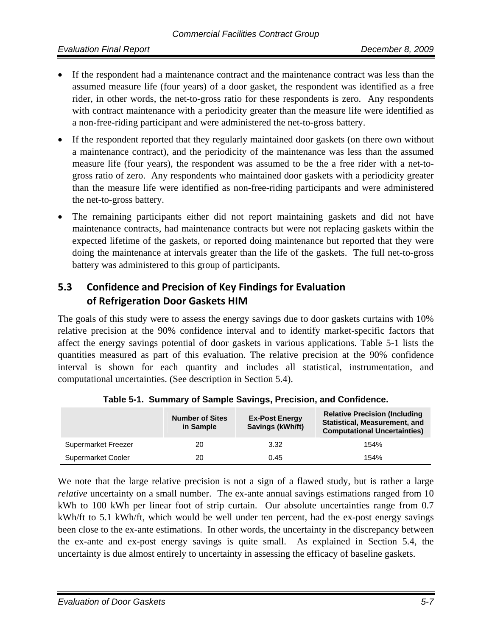- If the respondent had a maintenance contract and the maintenance contract was less than the assumed measure life (four years) of a door gasket, the respondent was identified as a free rider, in other words, the net-to-gross ratio for these respondents is zero. Any respondents with contract maintenance with a periodicity greater than the measure life were identified as a non-free-riding participant and were administered the net-to-gross battery.
- If the respondent reported that they regularly maintained door gaskets (on there own without a maintenance contract), and the periodicity of the maintenance was less than the assumed measure life (four years), the respondent was assumed to be the a free rider with a net-togross ratio of zero. Any respondents who maintained door gaskets with a periodicity greater than the measure life were identified as non-free-riding participants and were administered the net-to-gross battery.
- The remaining participants either did not report maintaining gaskets and did not have maintenance contracts, had maintenance contracts but were not replacing gaskets within the expected lifetime of the gaskets, or reported doing maintenance but reported that they were doing the maintenance at intervals greater than the life of the gaskets. The full net-to-gross battery was administered to this group of participants.

# **5.3 Confidence and Precision of Key Findings for Evaluation of Refrigeration Door Gaskets HIM**

The goals of this study were to assess the energy savings due to door gaskets curtains with 10% relative precision at the 90% confidence interval and to identify market-specific factors that affect the energy savings potential of door gaskets in various applications. Table 5-1 lists the quantities measured as part of this evaluation. The relative precision at the 90% confidence interval is shown for each quantity and includes all statistical, instrumentation, and computational uncertainties. (See description in Section 5.4).

|                     | <b>Number of Sites</b><br>in Sample | <b>Ex-Post Energy</b><br>Savings (kWh/ft) | <b>Relative Precision (Including</b><br>Statistical, Measurement, and<br><b>Computational Uncertainties)</b> |
|---------------------|-------------------------------------|-------------------------------------------|--------------------------------------------------------------------------------------------------------------|
| Supermarket Freezer | 20                                  | 3.32                                      | 154%                                                                                                         |
| Supermarket Cooler  | 20                                  | 0.45                                      | 154%                                                                                                         |

**Table 5-1. Summary of Sample Savings, Precision, and Confidence.** 

We note that the large relative precision is not a sign of a flawed study, but is rather a large *relative* uncertainty on a small number. The ex-ante annual savings estimations ranged from 10 kWh to 100 kWh per linear foot of strip curtain. Our absolute uncertainties range from 0.7 kWh/ft to 5.1 kWh/ft, which would be well under ten percent, had the ex-post energy savings been close to the ex-ante estimations. In other words, the uncertainty in the discrepancy between the ex-ante and ex-post energy savings is quite small. As explained in Section 5.4, the uncertainty is due almost entirely to uncertainty in assessing the efficacy of baseline gaskets.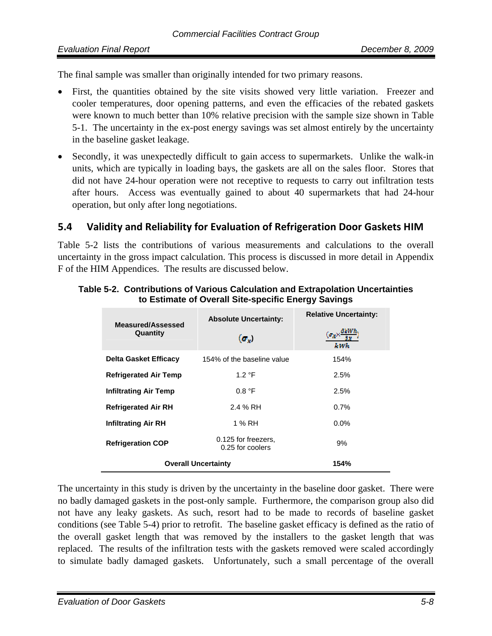The final sample was smaller than originally intended for two primary reasons.

- First, the quantities obtained by the site visits showed very little variation. Freezer and cooler temperatures, door opening patterns, and even the efficacies of the rebated gaskets were known to much better than 10% relative precision with the sample size shown in Table 5-1. The uncertainty in the ex-post energy savings was set almost entirely by the uncertainty in the baseline gasket leakage.
- Secondly, it was unexpectedly difficult to gain access to supermarkets. Unlike the walk-in units, which are typically in loading bays, the gaskets are all on the sales floor. Stores that did not have 24-hour operation were not receptive to requests to carry out infiltration tests after hours. Access was eventually gained to about 40 supermarkets that had 24-hour operation, but only after long negotiations.

# **5.4 Validity and Reliability for Evaluation of Refrigeration Door Gaskets HIM**

Table 5-2 lists the contributions of various measurements and calculations to the overall uncertainty in the gross impact calculation. This process is discussed in more detail in Appendix F of the HIM Appendices. The results are discussed below.

| Measured/Assessed<br>Quantity | <b>Absolute Uncertainty:</b><br>$(\sigma_v)$ | <b>Relative Uncertainty:</b><br>$(\alpha_X \times)$<br>le wh |
|-------------------------------|----------------------------------------------|--------------------------------------------------------------|
| Delta Gasket Efficacy         | 154% of the baseline value                   | 154%                                                         |
| <b>Refrigerated Air Temp</b>  | 1.2 °F                                       | 2.5%                                                         |
| <b>Infiltrating Air Temp</b>  | 0.8 °F                                       | 2.5%                                                         |
| <b>Refrigerated Air RH</b>    | 2.4 % RH                                     | 0.7%                                                         |
| <b>Infiltrating Air RH</b>    | 1 % RH                                       | $0.0\%$                                                      |
| <b>Refrigeration COP</b>      | 0.125 for freezers.<br>0.25 for coolers      | 9%                                                           |
| <b>Overall Uncertainty</b>    | 154%                                         |                                                              |

#### **Table 5-2. Contributions of Various Calculation and Extrapolation Uncertainties to Estimate of Overall Site-specific Energy Savings**

The uncertainty in this study is driven by the uncertainty in the baseline door gasket. There were no badly damaged gaskets in the post-only sample. Furthermore, the comparison group also did not have any leaky gaskets. As such, resort had to be made to records of baseline gasket conditions (see Table 5-4) prior to retrofit. The baseline gasket efficacy is defined as the ratio of the overall gasket length that was removed by the installers to the gasket length that was replaced. The results of the infiltration tests with the gaskets removed were scaled accordingly to simulate badly damaged gaskets. Unfortunately, such a small percentage of the overall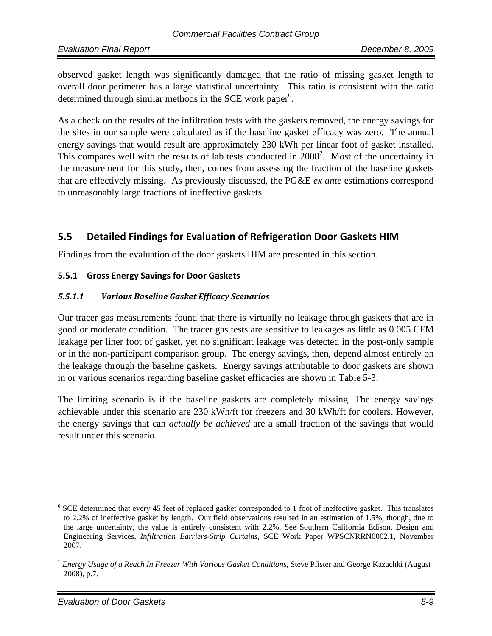observed gasket length was significantly damaged that the ratio of missing gasket length to overall door perimeter has a large statistical uncertainty. This ratio is consistent with the ratio determined through similar methods in the SCE work paper<sup>6</sup>.

As a check on the results of the infiltration tests with the gaskets removed, the energy savings for the sites in our sample were calculated as if the baseline gasket efficacy was zero. The annual energy savings that would result are approximately 230 kWh per linear foot of gasket installed. This compares well with the results of lab tests conducted in 2008<sup>7</sup>. Most of the uncertainty in the measurement for this study, then, comes from assessing the fraction of the baseline gaskets that are effectively missing. As previously discussed, the PG&E *ex ante* estimations correspond to unreasonably large fractions of ineffective gaskets.

# **5.5 Detailed Findings for Evaluation of Refrigeration Door Gaskets HIM**

Findings from the evaluation of the door gaskets HIM are presented in this section.

#### **5.5.1 Gross Energy Savings for Door Gaskets**

#### *5.5.1.1 Various Baseline Gasket Efficacy Scenarios*

Our tracer gas measurements found that there is virtually no leakage through gaskets that are in good or moderate condition. The tracer gas tests are sensitive to leakages as little as 0.005 CFM leakage per liner foot of gasket, yet no significant leakage was detected in the post-only sample or in the non-participant comparison group. The energy savings, then, depend almost entirely on the leakage through the baseline gaskets. Energy savings attributable to door gaskets are shown in or various scenarios regarding baseline gasket efficacies are shown in Table 5-3.

The limiting scenario is if the baseline gaskets are completely missing. The energy savings achievable under this scenario are 230 kWh/ft for freezers and 30 kWh/ft for coolers. However, the energy savings that can *actually be achieved* are a small fraction of the savings that would result under this scenario.

 $6$  SCE determined that every 45 feet of replaced gasket corresponded to 1 foot of ineffective gasket. This translates to 2.2% of ineffective gasket by length. Our field observations resulted in an estimation of 1.5%, though, due to the large uncertainty, the value is entirely consistent with 2.2%. See Southern California Edison, Design and Engineering Services, *Infiltration Barriers-Strip Curtains,* SCE Work Paper WPSCNRRN0002.1, November 2007.

<sup>7</sup> *Energy Usage of a Reach In Freezer With Various Gasket Conditions,* Steve Pfister and George Kazachki (August 2008), p.7.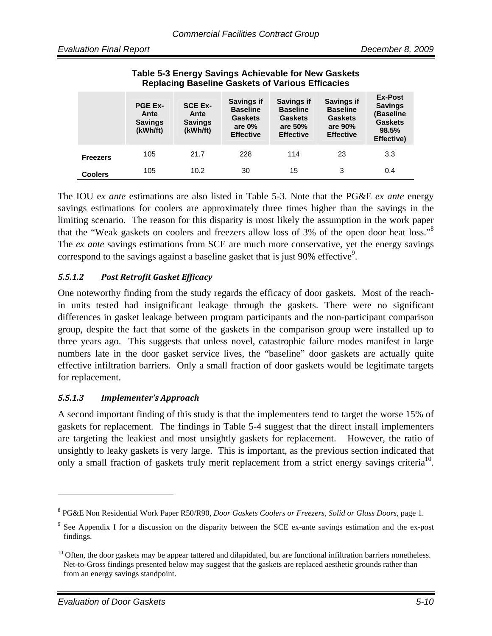|                 | <b>PGE Ex-</b><br>Ante<br><b>Savings</b><br>(kWh/ft) | <b>SCE Ex-</b><br>Ante<br><b>Savings</b><br>(kWh/ft) | Savings if<br><b>Baseline</b><br><b>Gaskets</b><br>are $0\%$<br><b>Effective</b> | <b>Savings if</b><br><b>Baseline</b><br><b>Gaskets</b><br>are 50%<br><b>Effective</b> | <b>Savings if</b><br><b>Baseline</b><br><b>Gaskets</b><br>are 90%<br><b>Effective</b> | Ex-Post<br><b>Savings</b><br>(Baseline<br><b>Gaskets</b><br>98.5%<br>Effective) |
|-----------------|------------------------------------------------------|------------------------------------------------------|----------------------------------------------------------------------------------|---------------------------------------------------------------------------------------|---------------------------------------------------------------------------------------|---------------------------------------------------------------------------------|
| <b>Freezers</b> | 105                                                  | 21.7                                                 | 228                                                                              | 114                                                                                   | 23                                                                                    | 3.3                                                                             |
| <b>Coolers</b>  | 105                                                  | 10.2                                                 | 30                                                                               | 15                                                                                    | 3                                                                                     | 0.4                                                                             |

#### **Table 5-3 Energy Savings Achievable for New Gaskets Replacing Baseline Gaskets of Various Efficacies**

The IOU e*x ante* estimations are also listed in Table 5-3. Note that the PG&E *ex ante* energy savings estimations for coolers are approximately three times higher than the savings in the limiting scenario. The reason for this disparity is most likely the assumption in the work paper that the "Weak gaskets on coolers and freezers allow loss of 3% of the open door heat loss."<sup>8</sup> The *ex ante* savings estimations from SCE are much more conservative, yet the energy savings correspond to the savings against a baseline gasket that is just 90% effective<sup>9</sup>.

#### *5.5.1.2 Post Retrofit Gasket Efficacy*

One noteworthy finding from the study regards the efficacy of door gaskets. Most of the reachin units tested had insignificant leakage through the gaskets. There were no significant differences in gasket leakage between program participants and the non-participant comparison group, despite the fact that some of the gaskets in the comparison group were installed up to three years ago. This suggests that unless novel, catastrophic failure modes manifest in large numbers late in the door gasket service lives, the "baseline" door gaskets are actually quite effective infiltration barriers. Only a small fraction of door gaskets would be legitimate targets for replacement.

#### *5.5.1.3 Implementer's Approach*

A second important finding of this study is that the implementers tend to target the worse 15% of gaskets for replacement. The findings in Table 5-4 suggest that the direct install implementers are targeting the leakiest and most unsightly gaskets for replacement. However, the ratio of unsightly to leaky gaskets is very large. This is important, as the previous section indicated that only a small fraction of gaskets truly merit replacement from a strict energy savings criteria<sup>10</sup>.

1

<sup>8</sup> PG&E Non Residential Work Paper R50/R90, *Door Gaskets Coolers or Freezers, Solid or Glass Doors*, page 1.

<sup>&</sup>lt;sup>9</sup> See Appendix I for a discussion on the disparity between the SCE ex-ante savings estimation and the ex-post findings.

 $10$  Often, the door gaskets may be appear tattered and dilapidated, but are functional infiltration barriers nonetheless. Net-to-Gross findings presented below may suggest that the gaskets are replaced aesthetic grounds rather than from an energy savings standpoint.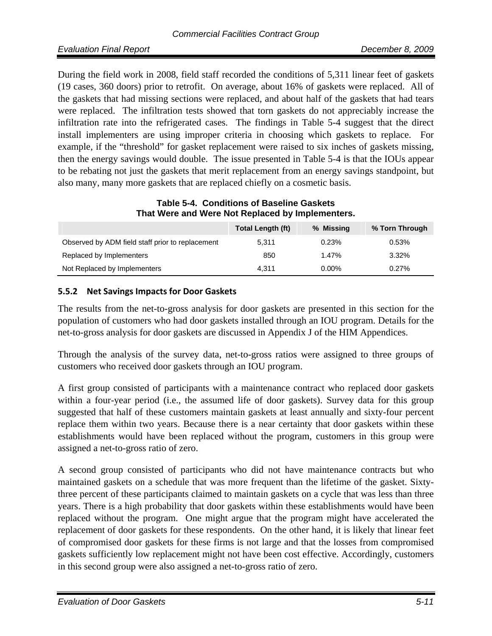During the field work in 2008, field staff recorded the conditions of 5,311 linear feet of gaskets (19 cases, 360 doors) prior to retrofit. On average, about 16% of gaskets were replaced. All of the gaskets that had missing sections were replaced, and about half of the gaskets that had tears were replaced. The infiltration tests showed that torn gaskets do not appreciably increase the infiltration rate into the refrigerated cases. The findings in Table 5-4 suggest that the direct install implementers are using improper criteria in choosing which gaskets to replace. For example, if the "threshold" for gasket replacement were raised to six inches of gaskets missing, then the energy savings would double. The issue presented in Table 5-4 is that the IOUs appear to be rebating not just the gaskets that merit replacement from an energy savings standpoint, but also many, many more gaskets that are replaced chiefly on a cosmetic basis.

| That Were and Were Not Replaced by Implementers. |                          |           |                |  |  |  |
|--------------------------------------------------|--------------------------|-----------|----------------|--|--|--|
|                                                  | <b>Total Length (ft)</b> | % Missing | % Torn Through |  |  |  |
| Observed by ADM field staff prior to replacement | 5.311                    | 0.23%     | 0.53%          |  |  |  |
| Replaced by Implementers                         | 850                      | 1.47%     | 3.32%          |  |  |  |

Not Replaced by Implementers  $4,311$  0.00% 0.27%

# **Table 5-4. Conditions of Baseline Gaskets**

#### **5.5.2 Net Savings Impacts for Door Gaskets**

The results from the net-to-gross analysis for door gaskets are presented in this section for the population of customers who had door gaskets installed through an IOU program. Details for the net-to-gross analysis for door gaskets are discussed in Appendix J of the HIM Appendices.

Through the analysis of the survey data, net-to-gross ratios were assigned to three groups of customers who received door gaskets through an IOU program.

A first group consisted of participants with a maintenance contract who replaced door gaskets within a four-year period (i.e., the assumed life of door gaskets). Survey data for this group suggested that half of these customers maintain gaskets at least annually and sixty-four percent replace them within two years. Because there is a near certainty that door gaskets within these establishments would have been replaced without the program, customers in this group were assigned a net-to-gross ratio of zero.

A second group consisted of participants who did not have maintenance contracts but who maintained gaskets on a schedule that was more frequent than the lifetime of the gasket. Sixtythree percent of these participants claimed to maintain gaskets on a cycle that was less than three years. There is a high probability that door gaskets within these establishments would have been replaced without the program. One might argue that the program might have accelerated the replacement of door gaskets for these respondents. On the other hand, it is likely that linear feet of compromised door gaskets for these firms is not large and that the losses from compromised gaskets sufficiently low replacement might not have been cost effective. Accordingly, customers in this second group were also assigned a net-to-gross ratio of zero.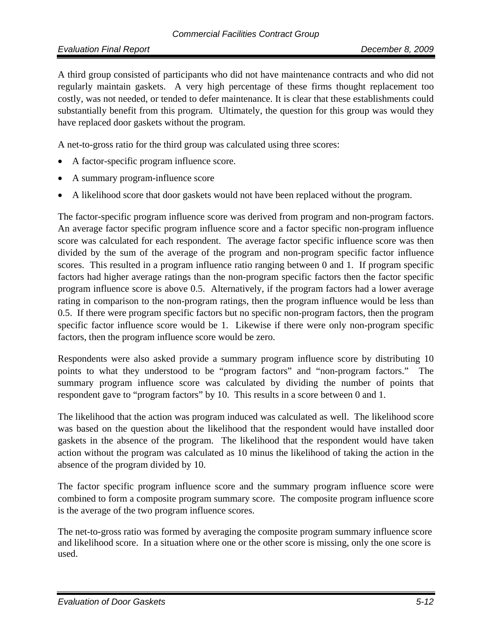A third group consisted of participants who did not have maintenance contracts and who did not regularly maintain gaskets. A very high percentage of these firms thought replacement too costly, was not needed, or tended to defer maintenance. It is clear that these establishments could substantially benefit from this program. Ultimately, the question for this group was would they have replaced door gaskets without the program.

A net-to-gross ratio for the third group was calculated using three scores:

- A factor-specific program influence score.
- A summary program-influence score
- A likelihood score that door gaskets would not have been replaced without the program.

The factor-specific program influence score was derived from program and non-program factors. An average factor specific program influence score and a factor specific non-program influence score was calculated for each respondent. The average factor specific influence score was then divided by the sum of the average of the program and non-program specific factor influence scores. This resulted in a program influence ratio ranging between 0 and 1. If program specific factors had higher average ratings than the non-program specific factors then the factor specific program influence score is above 0.5. Alternatively, if the program factors had a lower average rating in comparison to the non-program ratings, then the program influence would be less than 0.5. If there were program specific factors but no specific non-program factors, then the program specific factor influence score would be 1. Likewise if there were only non-program specific factors, then the program influence score would be zero.

Respondents were also asked provide a summary program influence score by distributing 10 points to what they understood to be "program factors" and "non-program factors." summary program influence score was calculated by dividing the number of points that respondent gave to "program factors" by 10. This results in a score between 0 and 1.

The likelihood that the action was program induced was calculated as well. The likelihood score was based on the question about the likelihood that the respondent would have installed door gaskets in the absence of the program. The likelihood that the respondent would have taken action without the program was calculated as 10 minus the likelihood of taking the action in the absence of the program divided by 10.

The factor specific program influence score and the summary program influence score were combined to form a composite program summary score. The composite program influence score is the average of the two program influence scores.

The net-to-gross ratio was formed by averaging the composite program summary influence score and likelihood score. In a situation where one or the other score is missing, only the one score is used.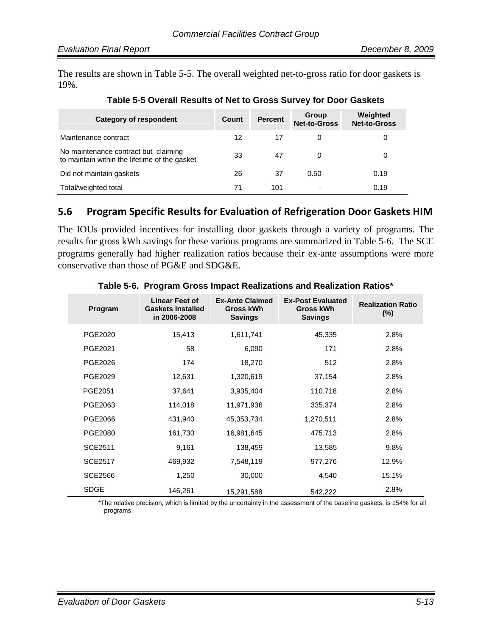The results are shown in Table 5-5. The overall weighted net-to-gross ratio for door gaskets is 19%.

| Category of respondent                                                                | Count | <b>Percent</b> | Group<br><b>Net-to-Gross</b> | Weighted<br><b>Net-to-Gross</b> |
|---------------------------------------------------------------------------------------|-------|----------------|------------------------------|---------------------------------|
| Maintenance contract                                                                  | 12    | 17             |                              | 0                               |
| No maintenance contract but claiming<br>to maintain within the lifetime of the gasket | 33    | 47             | $\Omega$                     | 0                               |
| Did not maintain gaskets                                                              | 26    | 37             | 0.50                         | 0.19                            |
| Total/weighted total                                                                  | 71    | 101            | ۰                            | 0.19                            |

#### **Table 5-5 Overall Results of Net to Gross Survey for Door Gaskets**

#### **5.6 Program Specific Results for Evaluation of Refrigeration Door Gaskets HIM**

The IOUs provided incentives for installing door gaskets through a variety of programs. The results for gross kWh savings for these various programs are summarized in Table 5-6. The SCE programs generally had higher realization ratios because their ex-ante assumptions were more conservative than those of PG&E and SDG&E.

| Program        | <b>Linear Feet of</b><br><b>Gaskets Installed</b><br>in 2006-2008 | <b>Ex-Ante Claimed</b><br>Gross kWh<br><b>Savings</b> | <b>Ex-Post Evaluated</b><br>Gross kWh<br><b>Savings</b> | <b>Realization Ratio</b><br>$(\%)$ |
|----------------|-------------------------------------------------------------------|-------------------------------------------------------|---------------------------------------------------------|------------------------------------|
| PGE2020        | 15,413                                                            | 1,611,741                                             | 45,335                                                  | 2.8%                               |
| PGE2021        | 58                                                                | 6,090                                                 | 171                                                     | 2.8%                               |
| PGE2026        | 174                                                               | 18,270                                                | 512                                                     | 2.8%                               |
| PGE2029        | 12,631                                                            | 1,320,619                                             | 37,154                                                  | 2.8%                               |
| PGE2051        | 37,641                                                            | 3,935,404                                             | 110,718                                                 | 2.8%                               |
| PGE2063        | 114,018                                                           | 11,971,936                                            | 335,374                                                 | 2.8%                               |
| PGE2066        | 431,940                                                           | 45,353,734                                            | 1,270,511                                               | 2.8%                               |
| PGE2080        | 161,730                                                           | 16,981,645                                            | 475,713                                                 | 2.8%                               |
| SCE2511        | 9,161                                                             | 138,459                                               | 13,585                                                  | 9.8%                               |
| <b>SCE2517</b> | 469,932                                                           | 7,548,119                                             | 977,276                                                 | 12.9%                              |
| <b>SCE2566</b> | 1,250                                                             | 30,000                                                | 4,540                                                   | 15.1%                              |
| <b>SDGE</b>    | 146,261                                                           | 15,291,588                                            | 542,222                                                 | 2.8%                               |

#### **Table 5-6. Program Gross Impact Realizations and Realization Ratios\***

\*The relative precision, which is limited by the uncertainty in the assessment of the baseline gaskets, is 154% for all programs.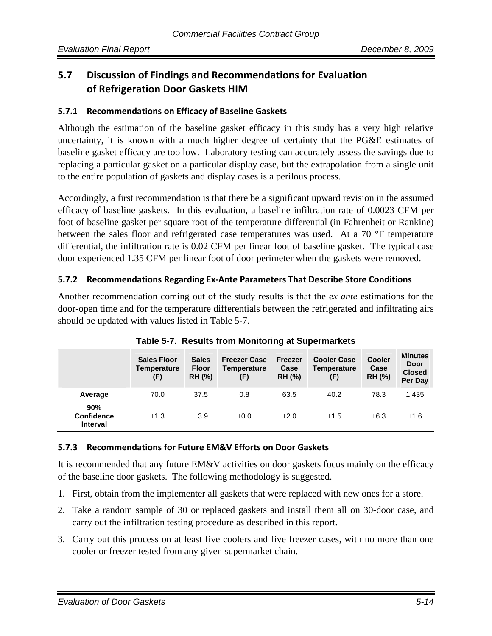# **5.7 Discussion of Findings and Recommendations for Evaluation of Refrigeration Door Gaskets HIM**

#### **5.7.1 Recommendations on Efficacy of Baseline Gaskets**

Although the estimation of the baseline gasket efficacy in this study has a very high relative uncertainty, it is known with a much higher degree of certainty that the PG&E estimates of baseline gasket efficacy are too low. Laboratory testing can accurately assess the savings due to replacing a particular gasket on a particular display case, but the extrapolation from a single unit to the entire population of gaskets and display cases is a perilous process.

Accordingly, a first recommendation is that there be a significant upward revision in the assumed efficacy of baseline gaskets. In this evaluation, a baseline infiltration rate of 0.0023 CFM per foot of baseline gasket per square root of the temperature differential (in Fahrenheit or Rankine) between the sales floor and refrigerated case temperatures was used. At a 70 °F temperature differential, the infiltration rate is 0.02 CFM per linear foot of baseline gasket. The typical case door experienced 1.35 CFM per linear foot of door perimeter when the gaskets were removed.

#### **5.7.2 Recommendations Regarding Ex‐Ante Parameters That Describe Store Conditions**

Another recommendation coming out of the study results is that the *ex ante* estimations for the door-open time and for the temperature differentials between the refrigerated and infiltrating airs should be updated with values listed in Table 5-7.

|                                             | <b>Sales Floor</b><br><b>Temperature</b><br>(F) | <b>Sales</b><br><b>Floor</b><br><b>RH (%)</b> | <b>Freezer Case</b><br><b>Temperature</b><br>(F) | <b>Freezer</b><br>Case<br><b>RH (%)</b> | <b>Cooler Case</b><br><b>Temperature</b><br>(F) | <b>Cooler</b><br>Case<br><b>RH (%)</b> | <b>Minutes</b><br><b>Door</b><br><b>Closed</b><br>Per Day |
|---------------------------------------------|-------------------------------------------------|-----------------------------------------------|--------------------------------------------------|-----------------------------------------|-------------------------------------------------|----------------------------------------|-----------------------------------------------------------|
| Average                                     | 70.0                                            | 37.5                                          | 0.8                                              | 63.5                                    | 40.2                                            | 78.3                                   | 1,435                                                     |
| 90%<br><b>Confidence</b><br><b>Interval</b> | ±1.3                                            | $+3.9$                                        | ±0.0                                             | $+2.0$                                  | ±1.5                                            | $\pm 6.3$                              | ±1.6                                                      |

**Table 5-7. Results from Monitoring at Supermarkets** 

#### **5.7.3 Recommendations for Future EM&V Efforts on Door Gaskets**

It is recommended that any future EM&V activities on door gaskets focus mainly on the efficacy of the baseline door gaskets. The following methodology is suggested.

- 1. First, obtain from the implementer all gaskets that were replaced with new ones for a store.
- 2. Take a random sample of 30 or replaced gaskets and install them all on 30-door case, and carry out the infiltration testing procedure as described in this report.
- 3. Carry out this process on at least five coolers and five freezer cases, with no more than one cooler or freezer tested from any given supermarket chain.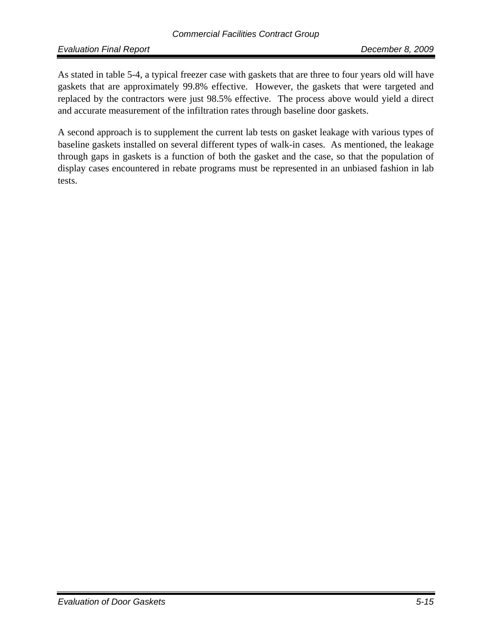*Evaluation Final Report December 8, 2009*

As stated in table 5-4, a typical freezer case with gaskets that are three to four years old will have gaskets that are approximately 99.8% effective. However, the gaskets that were targeted and replaced by the contractors were just 98.5% effective. The process above would yield a direct and accurate measurement of the infiltration rates through baseline door gaskets.

A second approach is to supplement the current lab tests on gasket leakage with various types of baseline gaskets installed on several different types of walk-in cases. As mentioned, the leakage through gaps in gaskets is a function of both the gasket and the case, so that the population of display cases encountered in rebate programs must be represented in an unbiased fashion in lab tests.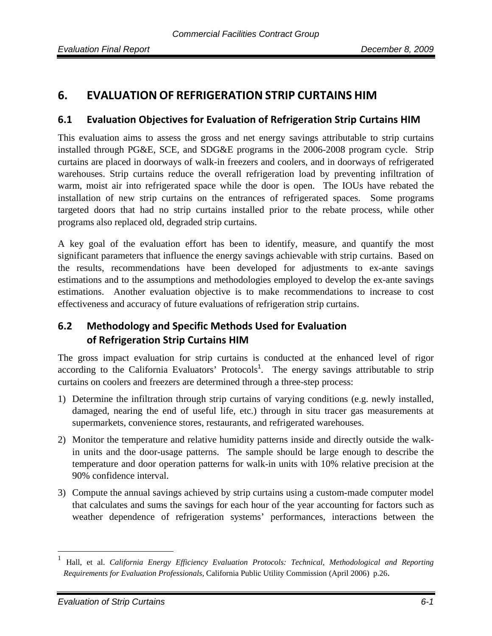# **6. EVALUATION OF REFRIGERATION STRIP CURTAINS HIM**

#### **6.1 Evaluation Objectives for Evaluation of Refrigeration Strip Curtains HIM**

This evaluation aims to assess the gross and net energy savings attributable to strip curtains installed through PG&E, SCE, and SDG&E programs in the 2006-2008 program cycle. Strip curtains are placed in doorways of walk-in freezers and coolers, and in doorways of refrigerated warehouses. Strip curtains reduce the overall refrigeration load by preventing infiltration of warm, moist air into refrigerated space while the door is open. The IOUs have rebated the installation of new strip curtains on the entrances of refrigerated spaces. Some programs targeted doors that had no strip curtains installed prior to the rebate process, while other programs also replaced old, degraded strip curtains.

A key goal of the evaluation effort has been to identify, measure, and quantify the most significant parameters that influence the energy savings achievable with strip curtains. Based on the results, recommendations have been developed for adjustments to ex-ante savings estimations and to the assumptions and methodologies employed to develop the ex-ante savings estimations. Another evaluation objective is to make recommendations to increase to cost effectiveness and accuracy of future evaluations of refrigeration strip curtains.

# **6.2 Methodology and Specific Methods Used for Evaluation of Refrigeration Strip Curtains HIM**

The gross impact evaluation for strip curtains is conducted at the enhanced level of rigor according to the California Evaluators' Protocols<sup>1</sup>. The energy savings attributable to strip curtains on coolers and freezers are determined through a three-step process:

- 1) Determine the infiltration through strip curtains of varying conditions (e.g. newly installed, damaged, nearing the end of useful life, etc.) through in situ tracer gas measurements at supermarkets, convenience stores, restaurants, and refrigerated warehouses.
- 2) Monitor the temperature and relative humidity patterns inside and directly outside the walkin units and the door-usage patterns. The sample should be large enough to describe the temperature and door operation patterns for walk-in units with 10% relative precision at the 90% confidence interval.
- 3) Compute the annual savings achieved by strip curtains using a custom-made computer model that calculates and sums the savings for each hour of the year accounting for factors such as weather dependence of refrigeration systems' performances, interactions between the

<sup>1</sup> Hall, et al. *California Energy Efficiency Evaluation Protocols: Technical, Methodological and Reporting Requirements for Evaluation Professionals,* California Public Utility Commission (April 2006) p.26.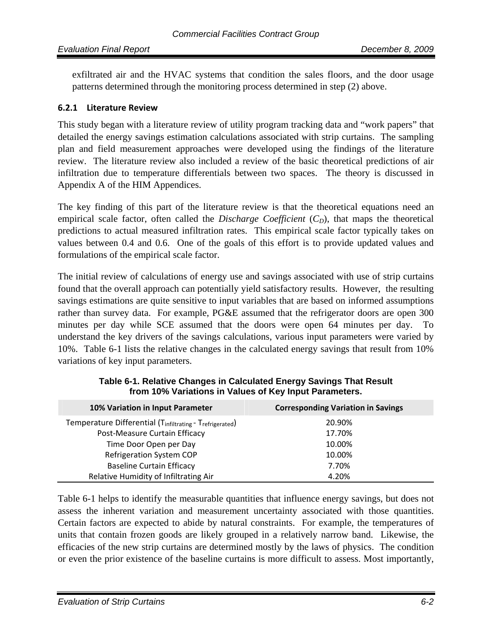#### *Evaluation Final Report December 8, 2009*

exfiltrated air and the HVAC systems that condition the sales floors, and the door usage patterns determined through the monitoring process determined in step (2) above.

#### **6.2.1 Literature Review**

This study began with a literature review of utility program tracking data and "work papers" that detailed the energy savings estimation calculations associated with strip curtains. The sampling plan and field measurement approaches were developed using the findings of the literature review. The literature review also included a review of the basic theoretical predictions of air infiltration due to temperature differentials between two spaces. The theory is discussed in Appendix A of the HIM Appendices.

The key finding of this part of the literature review is that the theoretical equations need an empirical scale factor, often called the *Discharge Coefficient*  $(C_D)$ , that maps the theoretical predictions to actual measured infiltration rates. This empirical scale factor typically takes on values between 0.4 and 0.6. One of the goals of this effort is to provide updated values and formulations of the empirical scale factor.

The initial review of calculations of energy use and savings associated with use of strip curtains found that the overall approach can potentially yield satisfactory results. However, the resulting savings estimations are quite sensitive to input variables that are based on informed assumptions rather than survey data. For example, PG&E assumed that the refrigerator doors are open 300 minutes per day while SCE assumed that the doors were open 64 minutes per day. To understand the key drivers of the savings calculations, various input parameters were varied by 10%. Table 6-1 lists the relative changes in the calculated energy savings that result from 10% variations of key input parameters.

| 10% Variation in Input Parameter                         | <b>Corresponding Variation in Savings</b> |
|----------------------------------------------------------|-------------------------------------------|
| Temperature Differential (Tinfiltrating - Trefrigerated) | 20.90%                                    |
| Post-Measure Curtain Efficacy                            | 17.70%                                    |
| Time Door Open per Day                                   | 10.00%                                    |
| Refrigeration System COP                                 | 10.00%                                    |
| <b>Baseline Curtain Efficacy</b>                         | 7.70%                                     |
| Relative Humidity of Infiltrating Air                    | 4.20%                                     |

| Table 6-1. Relative Changes in Calculated Energy Savings That Result |
|----------------------------------------------------------------------|
| from 10% Variations in Values of Key Input Parameters.               |

Table 6-1 helps to identify the measurable quantities that influence energy savings, but does not assess the inherent variation and measurement uncertainty associated with those quantities. Certain factors are expected to abide by natural constraints. For example, the temperatures of units that contain frozen goods are likely grouped in a relatively narrow band. Likewise, the efficacies of the new strip curtains are determined mostly by the laws of physics. The condition or even the prior existence of the baseline curtains is more difficult to assess. Most importantly,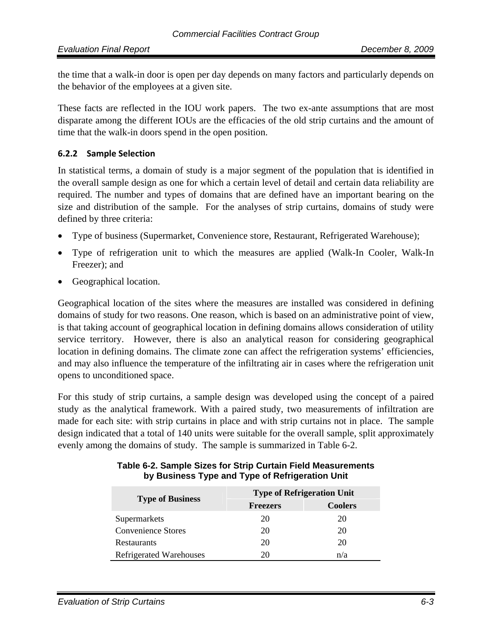the time that a walk-in door is open per day depends on many factors and particularly depends on the behavior of the employees at a given site.

These facts are reflected in the IOU work papers. The two ex-ante assumptions that are most disparate among the different IOUs are the efficacies of the old strip curtains and the amount of time that the walk-in doors spend in the open position.

#### **6.2.2 Sample Selection**

In statistical terms, a domain of study is a major segment of the population that is identified in the overall sample design as one for which a certain level of detail and certain data reliability are required. The number and types of domains that are defined have an important bearing on the size and distribution of the sample. For the analyses of strip curtains, domains of study were defined by three criteria:

- Type of business (Supermarket, Convenience store, Restaurant, Refrigerated Warehouse);
- Type of refrigeration unit to which the measures are applied (Walk-In Cooler, Walk-In Freezer); and
- Geographical location.

Geographical location of the sites where the measures are installed was considered in defining domains of study for two reasons. One reason, which is based on an administrative point of view, is that taking account of geographical location in defining domains allows consideration of utility service territory. However, there is also an analytical reason for considering geographical location in defining domains. The climate zone can affect the refrigeration systems' efficiencies, and may also influence the temperature of the infiltrating air in cases where the refrigeration unit opens to unconditioned space.

For this study of strip curtains, a sample design was developed using the concept of a paired study as the analytical framework. With a paired study, two measurements of infiltration are made for each site: with strip curtains in place and with strip curtains not in place. The sample design indicated that a total of 140 units were suitable for the overall sample, split approximately evenly among the domains of study. The sample is summarized in Table 6-2.

| <b>Type of Business</b>   | <b>Type of Refrigeration Unit</b> |                |  |  |
|---------------------------|-----------------------------------|----------------|--|--|
|                           | <b>Freezers</b>                   | <b>Coolers</b> |  |  |
| Supermarkets              | 20                                | 20             |  |  |
| <b>Convenience Stores</b> | 20                                | 20             |  |  |
| <b>Restaurants</b>        | 20                                | 20             |  |  |
| Refrigerated Warehouses   |                                   | n/a            |  |  |

#### **Table 6-2. Sample Sizes for Strip Curtain Field Measurements by Business Type and Type of Refrigeration Unit**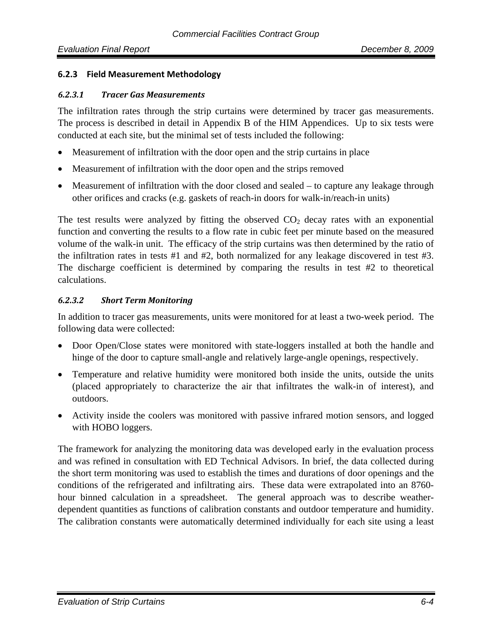#### **6.2.3 Field Measurement Methodology**

#### *6.2.3.1 Tracer Gas Measurements*

The infiltration rates through the strip curtains were determined by tracer gas measurements. The process is described in detail in Appendix B of the HIM Appendices. Up to six tests were conducted at each site, but the minimal set of tests included the following:

- Measurement of infiltration with the door open and the strip curtains in place
- Measurement of infiltration with the door open and the strips removed
- Measurement of infiltration with the door closed and sealed to capture any leakage through other orifices and cracks (e.g. gaskets of reach-in doors for walk-in/reach-in units)

The test results were analyzed by fitting the observed  $CO<sub>2</sub>$  decay rates with an exponential function and converting the results to a flow rate in cubic feet per minute based on the measured volume of the walk-in unit. The efficacy of the strip curtains was then determined by the ratio of the infiltration rates in tests #1 and #2, both normalized for any leakage discovered in test #3. The discharge coefficient is determined by comparing the results in test #2 to theoretical calculations.

#### *6.2.3.2 Short Term Monitoring*

In addition to tracer gas measurements, units were monitored for at least a two-week period. The following data were collected:

- Door Open/Close states were monitored with state-loggers installed at both the handle and hinge of the door to capture small-angle and relatively large-angle openings, respectively.
- Temperature and relative humidity were monitored both inside the units, outside the units (placed appropriately to characterize the air that infiltrates the walk-in of interest), and outdoors.
- Activity inside the coolers was monitored with passive infrared motion sensors, and logged with HOBO loggers.

The framework for analyzing the monitoring data was developed early in the evaluation process and was refined in consultation with ED Technical Advisors. In brief, the data collected during the short term monitoring was used to establish the times and durations of door openings and the conditions of the refrigerated and infiltrating airs. These data were extrapolated into an 8760 hour binned calculation in a spreadsheet. The general approach was to describe weatherdependent quantities as functions of calibration constants and outdoor temperature and humidity. The calibration constants were automatically determined individually for each site using a least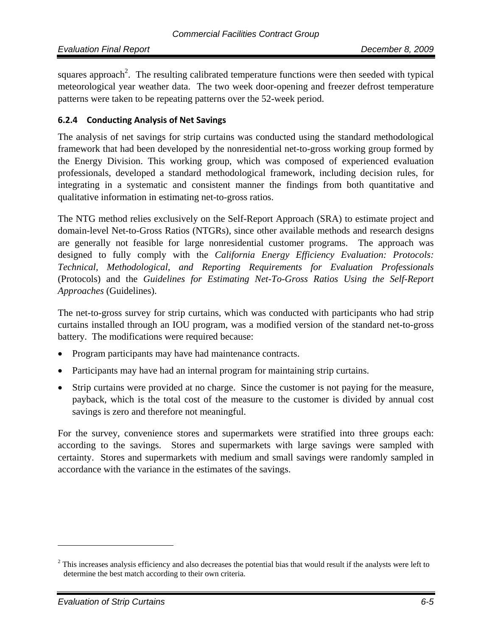squares approach<sup>2</sup>. The resulting calibrated temperature functions were then seeded with typical meteorological year weather data. The two week door-opening and freezer defrost temperature patterns were taken to be repeating patterns over the 52-week period.

#### **6.2.4 Conducting Analysis of Net Savings**

The analysis of net savings for strip curtains was conducted using the standard methodological framework that had been developed by the nonresidential net-to-gross working group formed by the Energy Division. This working group, which was composed of experienced evaluation professionals, developed a standard methodological framework, including decision rules, for integrating in a systematic and consistent manner the findings from both quantitative and qualitative information in estimating net-to-gross ratios.

The NTG method relies exclusively on the Self-Report Approach (SRA) to estimate project and domain-level Net-to-Gross Ratios (NTGRs), since other available methods and research designs are generally not feasible for large nonresidential customer programs. The approach was designed to fully comply with the *California Energy Efficiency Evaluation: Protocols: Technical, Methodological, and Reporting Requirements for Evaluation Professionals*  (Protocols) and the *Guidelines for Estimating Net-To-Gross Ratios Using the Self-Report Approaches* (Guidelines).

The net-to-gross survey for strip curtains, which was conducted with participants who had strip curtains installed through an IOU program, was a modified version of the standard net-to-gross battery. The modifications were required because:

- Program participants may have had maintenance contracts.
- Participants may have had an internal program for maintaining strip curtains.
- Strip curtains were provided at no charge. Since the customer is not paying for the measure, payback, which is the total cost of the measure to the customer is divided by annual cost savings is zero and therefore not meaningful.

For the survey, convenience stores and supermarkets were stratified into three groups each: according to the savings. Stores and supermarkets with large savings were sampled with certainty. Stores and supermarkets with medium and small savings were randomly sampled in accordance with the variance in the estimates of the savings.

 $2^2$  This increases analysis efficiency and also decreases the potential bias that would result if the analysts were left to determine the best match according to their own criteria.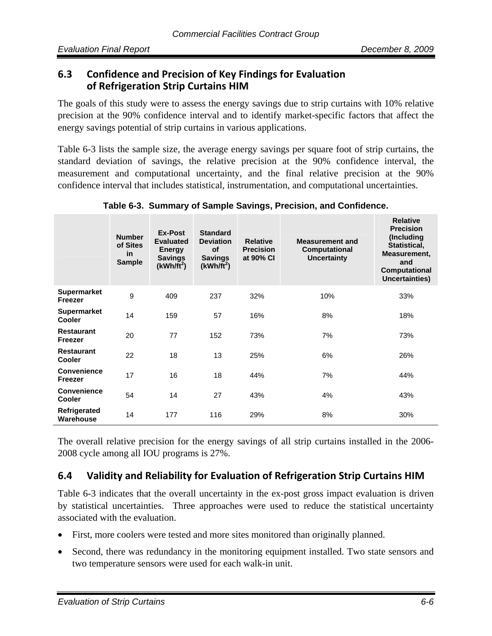## **6.3 Confidence and Precision of Key Findings for Evaluation of Refrigeration Strip Curtains HIM**

The goals of this study were to assess the energy savings due to strip curtains with 10% relative precision at the 90% confidence interval and to identify market-specific factors that affect the energy savings potential of strip curtains in various applications.

Table 6-3 lists the sample size, the average energy savings per square foot of strip curtains, the standard deviation of savings, the relative precision at the 90% confidence interval, the measurement and computational uncertainty, and the final relative precision at the 90% confidence interval that includes statistical, instrumentation, and computational uncertainties.

|                                     | <b>Number</b><br>of Sites<br>in<br><b>Sample</b> | Ex-Post<br><b>Evaluated</b><br><b>Energy</b><br><b>Savings</b><br>$(kWh/ft^2)$ | <b>Standard</b><br><b>Deviation</b><br><b>of</b><br><b>Savings</b><br>$(kWh/ft^2)$ | <b>Relative</b><br><b>Precision</b><br>at 90% CI | <b>Measurement and</b><br>Computational<br><b>Uncertainty</b> | <b>Relative</b><br><b>Precision</b><br>(Including<br>Statistical,<br>Measurement,<br>and<br>Computational<br>Uncertainties) |
|-------------------------------------|--------------------------------------------------|--------------------------------------------------------------------------------|------------------------------------------------------------------------------------|--------------------------------------------------|---------------------------------------------------------------|-----------------------------------------------------------------------------------------------------------------------------|
| <b>Supermarket</b><br>Freezer       | 9                                                | 409                                                                            | 237                                                                                | 32%                                              | 10%                                                           | 33%                                                                                                                         |
| <b>Supermarket</b><br><b>Cooler</b> | 14                                               | 159                                                                            | 57                                                                                 | 16%                                              | 8%                                                            | 18%                                                                                                                         |
| <b>Restaurant</b><br>Freezer        | 20                                               | 77                                                                             | 152                                                                                | 73%                                              | 7%                                                            | 73%                                                                                                                         |
| <b>Restaurant</b><br><b>Cooler</b>  | 22                                               | 18                                                                             | 13                                                                                 | 25%                                              | 6%                                                            | 26%                                                                                                                         |
| Convenience<br>Freezer              | 17                                               | 16                                                                             | 18                                                                                 | 44%                                              | 7%                                                            | 44%                                                                                                                         |
| <b>Convenience</b><br><b>Cooler</b> | 54                                               | 14                                                                             | 27                                                                                 | 43%                                              | 4%                                                            | 43%                                                                                                                         |
| Refrigerated<br>Warehouse           | 14                                               | 177                                                                            | 116                                                                                | 29%                                              | 8%                                                            | 30%                                                                                                                         |

**Table 6-3. Summary of Sample Savings, Precision, and Confidence.** 

The overall relative precision for the energy savings of all strip curtains installed in the 2006- 2008 cycle among all IOU programs is 27%.

# **6.4 Validity and Reliability for Evaluation of Refrigeration Strip Curtains HIM**

Table 6-3 indicates that the overall uncertainty in the ex-post gross impact evaluation is driven by statistical uncertainties. Three approaches were used to reduce the statistical uncertainty associated with the evaluation.

- First, more coolers were tested and more sites monitored than originally planned.
- Second, there was redundancy in the monitoring equipment installed. Two state sensors and two temperature sensors were used for each walk-in unit.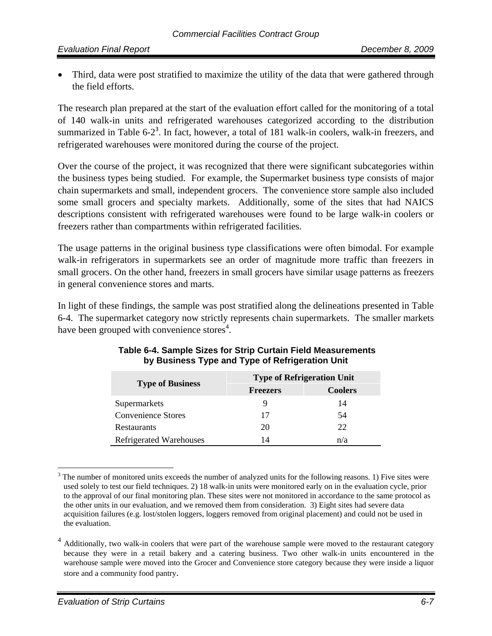• Third, data were post stratified to maximize the utility of the data that were gathered through the field efforts.

The research plan prepared at the start of the evaluation effort called for the monitoring of a total of 140 walk-in units and refrigerated warehouses categorized according to the distribution summarized in Table 6- $2<sup>3</sup>$ . In fact, however, a total of 181 walk-in coolers, walk-in freezers, and refrigerated warehouses were monitored during the course of the project.

Over the course of the project, it was recognized that there were significant subcategories within the business types being studied. For example, the Supermarket business type consists of major chain supermarkets and small, independent grocers. The convenience store sample also included some small grocers and specialty markets. Additionally, some of the sites that had NAICS descriptions consistent with refrigerated warehouses were found to be large walk-in coolers or freezers rather than compartments within refrigerated facilities.

The usage patterns in the original business type classifications were often bimodal. For example walk-in refrigerators in supermarkets see an order of magnitude more traffic than freezers in small grocers. On the other hand, freezers in small grocers have similar usage patterns as freezers in general convenience stores and marts.

In light of these findings, the sample was post stratified along the delineations presented in Table 6-4. The supermarket category now strictly represents chain supermarkets. The smaller markets have been grouped with convenience stores<sup>4</sup>.

| <b>Type of Business</b>   | <b>Type of Refrigeration Unit</b> |                |  |  |
|---------------------------|-----------------------------------|----------------|--|--|
|                           | <b>Freezers</b>                   | <b>Coolers</b> |  |  |
| Supermarkets              |                                   | 14             |  |  |
| <b>Convenience Stores</b> | 17                                | 54             |  |  |
| Restaurants               | 20                                | 22.            |  |  |
| Refrigerated Warehouses   |                                   | n/a            |  |  |

#### **Table 6-4. Sample Sizes for Strip Curtain Field Measurements by Business Type and Type of Refrigeration Unit**

 $3$  The number of monitored units exceeds the number of analyzed units for the following reasons. 1) Five sites were used solely to test our field techniques. 2) 18 walk-in units were monitored early on in the evaluation cycle, prior to the approval of our final monitoring plan. These sites were not monitored in accordance to the same protocol as the other units in our evaluation, and we removed them from consideration. 3) Eight sites had severe data acquisition failures (e.g. lost/stolen loggers, loggers removed from original placement) and could not be used in the evaluation.

<sup>&</sup>lt;sup>4</sup> Additionally, two walk-in coolers that were part of the warehouse sample were moved to the restaurant category because they were in a retail bakery and a catering business. Two other walk-in units encountered in the warehouse sample were moved into the Grocer and Convenience store category because they were inside a liquor store and a community food pantry.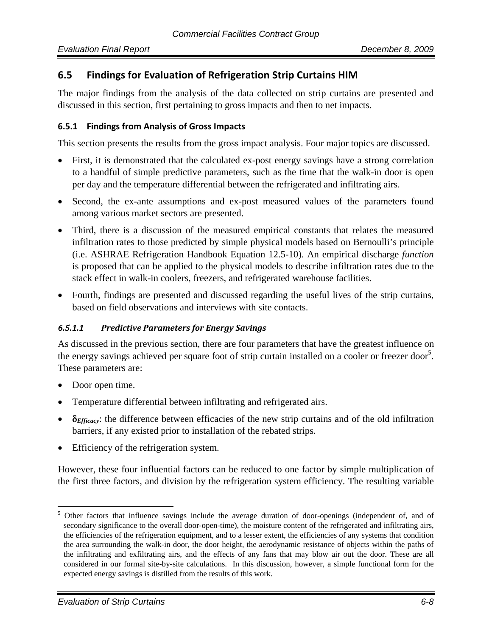## **6.5 Findings for Evaluation of Refrigeration Strip Curtains HIM**

The major findings from the analysis of the data collected on strip curtains are presented and discussed in this section, first pertaining to gross impacts and then to net impacts.

#### **6.5.1 Findings from Analysis of Gross Impacts**

This section presents the results from the gross impact analysis. Four major topics are discussed.

- First, it is demonstrated that the calculated ex-post energy savings have a strong correlation to a handful of simple predictive parameters, such as the time that the walk-in door is open per day and the temperature differential between the refrigerated and infiltrating airs.
- Second, the ex-ante assumptions and ex-post measured values of the parameters found among various market sectors are presented.
- Third, there is a discussion of the measured empirical constants that relates the measured infiltration rates to those predicted by simple physical models based on Bernoulli's principle (i.e. ASHRAE Refrigeration Handbook Equation 12.5-10). An empirical discharge *function*  is proposed that can be applied to the physical models to describe infiltration rates due to the stack effect in walk-in coolers, freezers, and refrigerated warehouse facilities.
- Fourth, findings are presented and discussed regarding the useful lives of the strip curtains, based on field observations and interviews with site contacts.

#### *6.5.1.1 Predictive Parameters for Energy Savings*

As discussed in the previous section, there are four parameters that have the greatest influence on the energy savings achieved per square foot of strip curtain installed on a cooler or freezer door<sup>5</sup>. These parameters are:

• Door open time.

 $\overline{a}$ 

- Temperature differential between infiltrating and refrigerated airs.
- δ*Efficacy*: the difference between efficacies of the new strip curtains and of the old infiltration barriers, if any existed prior to installation of the rebated strips.
- Efficiency of the refrigeration system.

However, these four influential factors can be reduced to one factor by simple multiplication of the first three factors, and division by the refrigeration system efficiency. The resulting variable

<sup>&</sup>lt;sup>5</sup> Other factors that influence savings include the average duration of door-openings (independent of, and of secondary significance to the overall door-open-time), the moisture content of the refrigerated and infiltrating airs, the efficiencies of the refrigeration equipment, and to a lesser extent, the efficiencies of any systems that condition the area surrounding the walk-in door, the door height, the aerodynamic resistance of objects within the paths of the infiltrating and exfiltrating airs, and the effects of any fans that may blow air out the door. These are all considered in our formal site-by-site calculations. In this discussion, however, a simple functional form for the expected energy savings is distilled from the results of this work.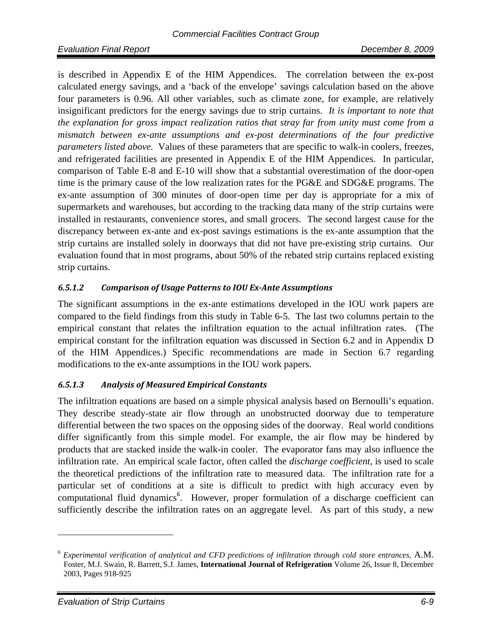is described in Appendix E of the HIM Appendices. The correlation between the ex-post calculated energy savings, and a 'back of the envelope' savings calculation based on the above four parameters is 0.96. All other variables, such as climate zone, for example, are relatively insignificant predictors for the energy savings due to strip curtains. *It is important to note that the explanation for gross impact realization ratios that stray far from unity must come from a mismatch between ex-ante assumptions and ex-post determinations of the four predictive parameters listed above.* Values of these parameters that are specific to walk-in coolers, freezes, and refrigerated facilities are presented in Appendix E of the HIM Appendices. In particular, comparison of Table E-8 and E-10 will show that a substantial overestimation of the door-open time is the primary cause of the low realization rates for the PG&E and SDG&E programs. The ex-ante assumption of 300 minutes of door-open time per day is appropriate for a mix of supermarkets and warehouses, but according to the tracking data many of the strip curtains were installed in restaurants, convenience stores, and small grocers. The second largest cause for the discrepancy between ex-ante and ex-post savings estimations is the ex-ante assumption that the strip curtains are installed solely in doorways that did not have pre-existing strip curtains. Our evaluation found that in most programs, about 50% of the rebated strip curtains replaced existing strip curtains.

#### *6.5.1.2 Comparison of Usage Patterns to IOU ExAnte Assumptions*

The significant assumptions in the ex-ante estimations developed in the IOU work papers are compared to the field findings from this study in Table 6-5. The last two columns pertain to the empirical constant that relates the infiltration equation to the actual infiltration rates. (The empirical constant for the infiltration equation was discussed in Section 6.2 and in Appendix D of the HIM Appendices.) Specific recommendations are made in Section 6.7 regarding modifications to the ex-ante assumptions in the IOU work papers.

#### *6.5.1.3 Analysis of Measured Empirical Constants*

The infiltration equations are based on a simple physical analysis based on Bernoulli's equation. They describe steady-state air flow through an unobstructed doorway due to temperature differential between the two spaces on the opposing sides of the doorway. Real world conditions differ significantly from this simple model. For example, the air flow may be hindered by products that are stacked inside the walk-in cooler. The evaporator fans may also influence the infiltration rate. An empirical scale factor, often called the *discharge coefficient,* is used to scale the theoretical predictions of the infiltration rate to measured data. The infiltration rate for a particular set of conditions at a site is difficult to predict with high accuracy even by computational fluid dynamics<sup>6</sup>. However, proper formulation of a discharge coefficient can sufficiently describe the infiltration rates on an aggregate level. As part of this study, a new

<sup>6</sup> *Experimental verification of analytical and CFD predictions of infiltration through cold store entrances,* A.M. Foster, M.J. Swain, R. Barrett, S.J. James, **International Journal of Refrigeration** Volume 26, Issue 8, December 2003, Pages 918-925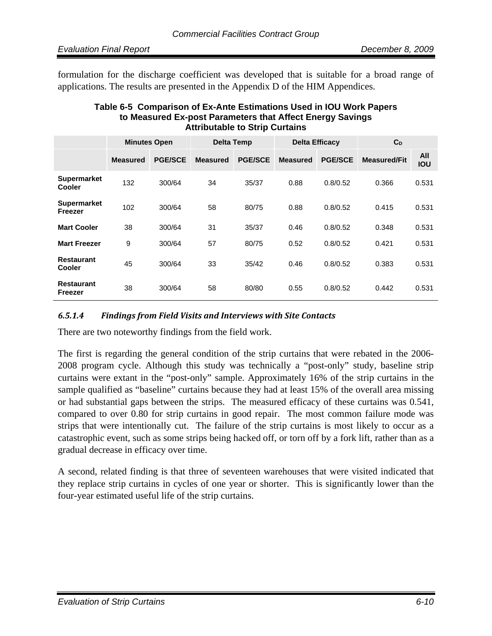formulation for the discharge coefficient was developed that is suitable for a broad range of applications. The results are presented in the Appendix D of the HIM Appendices.

| Table 6-5 Comparison of Ex-Ante Estimations Used in IOU Work Papers |
|---------------------------------------------------------------------|
| to Measured Ex-post Parameters that Affect Energy Savings           |
| <b>Attributable to Strip Curtains</b>                               |

|                                     | <b>Minutes Open</b> |                | <b>Delta Temp</b> |                | <b>Delta Efficacy</b> |                | $C_D$               |                   |
|-------------------------------------|---------------------|----------------|-------------------|----------------|-----------------------|----------------|---------------------|-------------------|
|                                     | <b>Measured</b>     | <b>PGE/SCE</b> | <b>Measured</b>   | <b>PGE/SCE</b> | <b>Measured</b>       | <b>PGE/SCE</b> | <b>Measured/Fit</b> | All<br><b>IOU</b> |
| <b>Supermarket</b><br><b>Cooler</b> | 132                 | 300/64         | 34                | 35/37          | 0.88                  | 0.8/0.52       | 0.366               | 0.531             |
| <b>Supermarket</b><br>Freezer       | 102                 | 300/64         | 58                | 80/75          | 0.88                  | 0.8/0.52       | 0.415               | 0.531             |
| <b>Mart Cooler</b>                  | 38                  | 300/64         | 31                | 35/37          | 0.46                  | 0.8/0.52       | 0.348               | 0.531             |
| <b>Mart Freezer</b>                 | 9                   | 300/64         | 57                | 80/75          | 0.52                  | 0.8/0.52       | 0.421               | 0.531             |
| <b>Restaurant</b><br>Cooler         | 45                  | 300/64         | 33                | 35/42          | 0.46                  | 0.8/0.52       | 0.383               | 0.531             |
| <b>Restaurant</b><br>Freezer        | 38                  | 300/64         | 58                | 80/80          | 0.55                  | 0.8/0.52       | 0.442               | 0.531             |

#### *6.5.1.4 Findings from Field Visits and Interviews with Site Contacts*

There are two noteworthy findings from the field work.

The first is regarding the general condition of the strip curtains that were rebated in the 2006- 2008 program cycle. Although this study was technically a "post-only" study, baseline strip curtains were extant in the "post-only" sample. Approximately 16% of the strip curtains in the sample qualified as "baseline" curtains because they had at least 15% of the overall area missing or had substantial gaps between the strips. The measured efficacy of these curtains was 0.541, compared to over 0.80 for strip curtains in good repair. The most common failure mode was strips that were intentionally cut. The failure of the strip curtains is most likely to occur as a catastrophic event, such as some strips being hacked off, or torn off by a fork lift, rather than as a gradual decrease in efficacy over time.

A second, related finding is that three of seventeen warehouses that were visited indicated that they replace strip curtains in cycles of one year or shorter. This is significantly lower than the four-year estimated useful life of the strip curtains.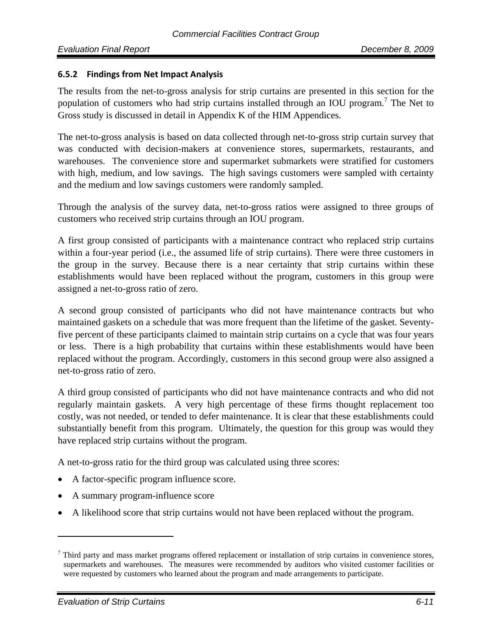#### **6.5.2 Findings from Net Impact Analysis**

The results from the net-to-gross analysis for strip curtains are presented in this section for the population of customers who had strip curtains installed through an IOU program.<sup>7</sup> The Net to Gross study is discussed in detail in Appendix K of the HIM Appendices.

The net-to-gross analysis is based on data collected through net-to-gross strip curtain survey that was conducted with decision-makers at convenience stores, supermarkets, restaurants, and warehouses. The convenience store and supermarket submarkets were stratified for customers with high, medium, and low savings. The high savings customers were sampled with certainty and the medium and low savings customers were randomly sampled.

Through the analysis of the survey data, net-to-gross ratios were assigned to three groups of customers who received strip curtains through an IOU program.

A first group consisted of participants with a maintenance contract who replaced strip curtains within a four-year period (i.e., the assumed life of strip curtains). There were three customers in the group in the survey. Because there is a near certainty that strip curtains within these establishments would have been replaced without the program, customers in this group were assigned a net-to-gross ratio of zero.

A second group consisted of participants who did not have maintenance contracts but who maintained gaskets on a schedule that was more frequent than the lifetime of the gasket. Seventyfive percent of these participants claimed to maintain strip curtains on a cycle that was four years or less. There is a high probability that curtains within these establishments would have been replaced without the program. Accordingly, customers in this second group were also assigned a net-to-gross ratio of zero.

A third group consisted of participants who did not have maintenance contracts and who did not regularly maintain gaskets. A very high percentage of these firms thought replacement too costly, was not needed, or tended to defer maintenance. It is clear that these establishments could substantially benefit from this program. Ultimately, the question for this group was would they have replaced strip curtains without the program.

A net-to-gross ratio for the third group was calculated using three scores:

- A factor-specific program influence score.
- A summary program-influence score
- A likelihood score that strip curtains would not have been replaced without the program.

 $<sup>7</sup>$  Third party and mass market programs offered replacement or installation of strip curtains in convenience stores,</sup> supermarkets and warehouses. The measures were recommended by auditors who visited customer facilities or were requested by customers who learned about the program and made arrangements to participate.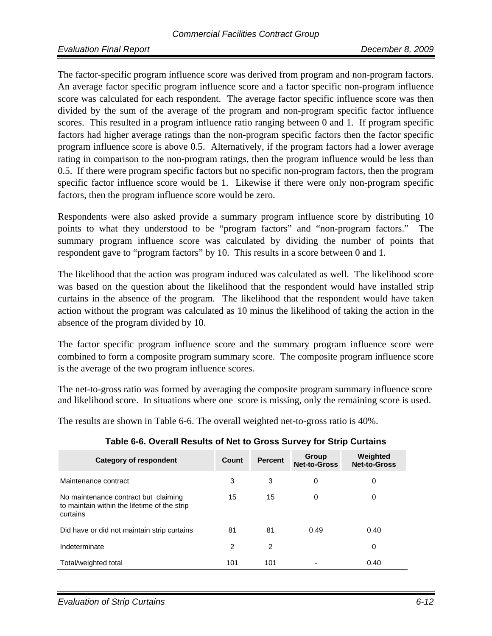The factor-specific program influence score was derived from program and non-program factors. An average factor specific program influence score and a factor specific non-program influence score was calculated for each respondent. The average factor specific influence score was then divided by the sum of the average of the program and non-program specific factor influence scores. This resulted in a program influence ratio ranging between 0 and 1. If program specific factors had higher average ratings than the non-program specific factors then the factor specific program influence score is above 0.5. Alternatively, if the program factors had a lower average rating in comparison to the non-program ratings, then the program influence would be less than 0.5. If there were program specific factors but no specific non-program factors, then the program specific factor influence score would be 1. Likewise if there were only non-program specific factors, then the program influence score would be zero.

Respondents were also asked provide a summary program influence score by distributing 10 points to what they understood to be "program factors" and "non-program factors." The summary program influence score was calculated by dividing the number of points that respondent gave to "program factors" by 10. This results in a score between 0 and 1.

The likelihood that the action was program induced was calculated as well. The likelihood score was based on the question about the likelihood that the respondent would have installed strip curtains in the absence of the program. The likelihood that the respondent would have taken action without the program was calculated as 10 minus the likelihood of taking the action in the absence of the program divided by 10.

The factor specific program influence score and the summary program influence score were combined to form a composite program summary score. The composite program influence score is the average of the two program influence scores.

The net-to-gross ratio was formed by averaging the composite program summary influence score and likelihood score. In situations where one score is missing, only the remaining score is used.

The results are shown in Table 6-6. The overall weighted net-to-gross ratio is 40%.

| Category of respondent                                                                           | Count         | <b>Percent</b> | Group<br><b>Net-to-Gross</b> | Weighted<br><b>Net-to-Gross</b> |
|--------------------------------------------------------------------------------------------------|---------------|----------------|------------------------------|---------------------------------|
| Maintenance contract                                                                             | 3             | 3              | 0                            | 0                               |
| No maintenance contract but claiming<br>to maintain within the lifetime of the strip<br>curtains | 15            | 15             | 0                            | 0                               |
| Did have or did not maintain strip curtains                                                      | 81            | 81             | 0.49                         | 0.40                            |
| Indeterminate                                                                                    | $\mathcal{P}$ | $\mathfrak{p}$ |                              | 0                               |
| Total/weighted total                                                                             | 101           | 101            |                              | 0.40                            |

#### **Table 6-6. Overall Results of Net to Gross Survey for Strip Curtains**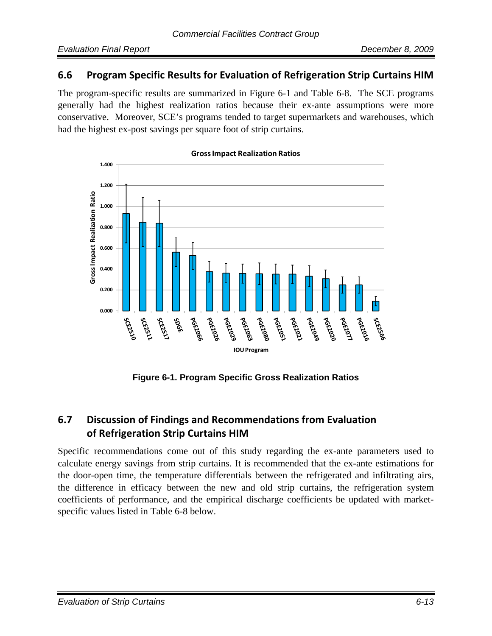## **6.6 Program Specific Results for Evaluation of Refrigeration Strip Curtains HIM**

The program-specific results are summarized in Figure 6-1 and Table 6-8. The SCE programs generally had the highest realization ratios because their ex-ante assumptions were more conservative. Moreover, SCE's programs tended to target supermarkets and warehouses, which had the highest ex-post savings per square foot of strip curtains.



#### **GrossImpact Realization Ratios**

**Figure 6-1. Program Specific Gross Realization Ratios** 

# **6.7 Discussion of Findings and Recommendations from Evaluation of Refrigeration Strip Curtains HIM**

Specific recommendations come out of this study regarding the ex-ante parameters used to calculate energy savings from strip curtains. It is recommended that the ex-ante estimations for the door-open time, the temperature differentials between the refrigerated and infiltrating airs, the difference in efficacy between the new and old strip curtains, the refrigeration system coefficients of performance, and the empirical discharge coefficients be updated with marketspecific values listed in Table 6-8 below.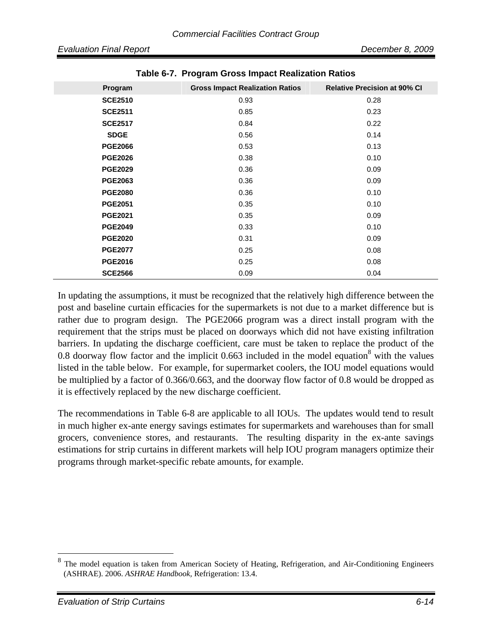| Program        | <b>Gross Impact Realization Ratios</b> | <b>Relative Precision at 90% CI</b> |
|----------------|----------------------------------------|-------------------------------------|
| <b>SCE2510</b> | 0.93                                   | 0.28                                |
| <b>SCE2511</b> | 0.85                                   | 0.23                                |
| <b>SCE2517</b> | 0.84                                   | 0.22                                |
| <b>SDGE</b>    | 0.56                                   | 0.14                                |
| <b>PGE2066</b> | 0.53                                   | 0.13                                |
| <b>PGE2026</b> | 0.38                                   | 0.10                                |
| <b>PGE2029</b> | 0.36                                   | 0.09                                |
| <b>PGE2063</b> | 0.36                                   | 0.09                                |
| <b>PGE2080</b> | 0.36                                   | 0.10                                |
| <b>PGE2051</b> | 0.35                                   | 0.10                                |
| <b>PGE2021</b> | 0.35                                   | 0.09                                |
| <b>PGE2049</b> | 0.33                                   | 0.10                                |
| <b>PGE2020</b> | 0.31                                   | 0.09                                |
| <b>PGE2077</b> | 0.25                                   | 0.08                                |
| <b>PGE2016</b> | 0.25                                   | 0.08                                |
| <b>SCE2566</b> | 0.09                                   | 0.04                                |

**Table 6-7. Program Gross Impact Realization Ratios** 

In updating the assumptions, it must be recognized that the relatively high difference between the post and baseline curtain efficacies for the supermarkets is not due to a market difference but is rather due to program design. The PGE2066 program was a direct install program with the requirement that the strips must be placed on doorways which did not have existing infiltration barriers. In updating the discharge coefficient, care must be taken to replace the product of the 0.8 doorway flow factor and the implicit 0.663 included in the model equation<sup>8</sup> with the values listed in the table below. For example, for supermarket coolers, the IOU model equations would be multiplied by a factor of 0.366/0.663, and the doorway flow factor of 0.8 would be dropped as it is effectively replaced by the new discharge coefficient.

The recommendations in Table 6-8 are applicable to all IOUs. The updates would tend to result in much higher ex-ante energy savings estimates for supermarkets and warehouses than for small grocers, convenience stores, and restaurants. The resulting disparity in the ex-ante savings estimations for strip curtains in different markets will help IOU program managers optimize their programs through market-specific rebate amounts, for example.

The model equation is taken from American Society of Heating, Refrigeration, and Air-Conditioning Engineers (ASHRAE). 2006. *ASHRAE Handbook,* Refrigeration: 13.4.